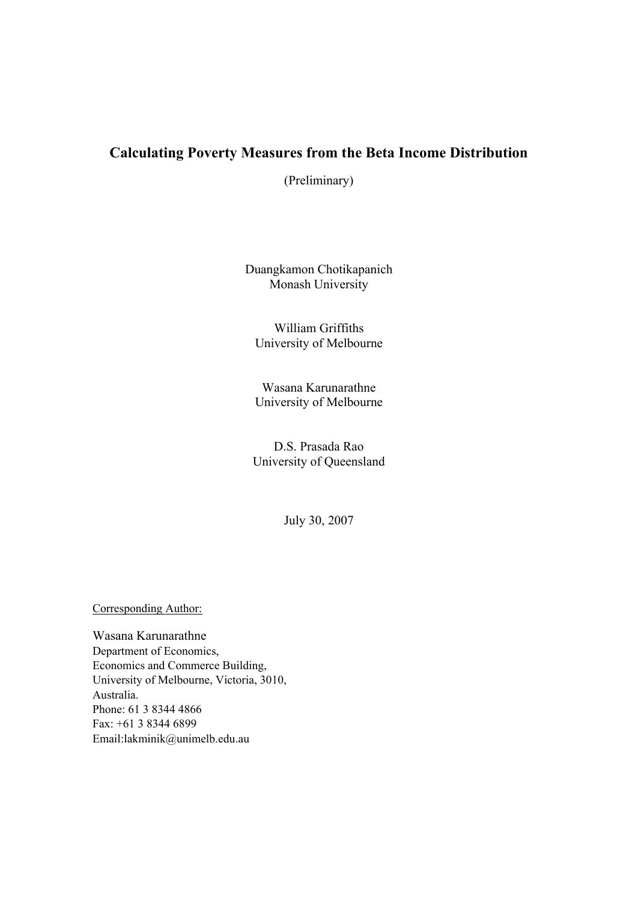# **Calculating Poverty Measures from the Beta Income Distribution**

(Preliminary)

Duangkamon Chotikapanich Monash University

William Griffiths University of Melbourne

Wasana Karunarathne University of Melbourne

D.S. Prasada Rao University of Queensland

July 30, 2007

Corresponding Author:

Wasana Karunarathne Department of Economics, Economics and Commerce Building, University of Melbourne, Victoria, 3010, Australia. Phone: 61 3 8344 4866 Fax: +61 3 8344 6899 Email:lakminik@unimelb.edu.au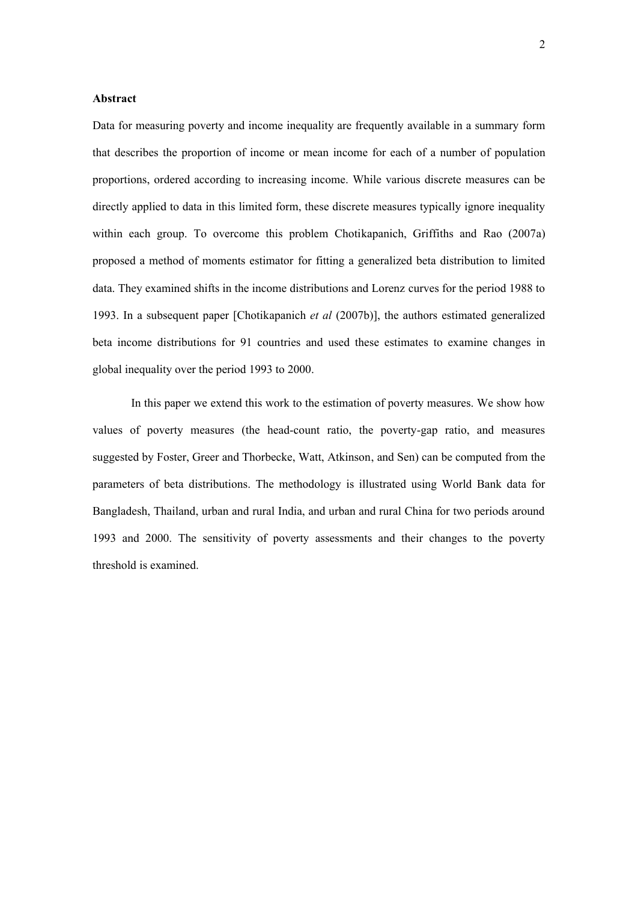#### **Abstract**

Data for measuring poverty and income inequality are frequently available in a summary form that describes the proportion of income or mean income for each of a number of population proportions, ordered according to increasing income. While various discrete measures can be directly applied to data in this limited form, these discrete measures typically ignore inequality within each group. To overcome this problem Chotikapanich, Griffiths and Rao (2007a) proposed a method of moments estimator for fitting a generalized beta distribution to limited data. They examined shifts in the income distributions and Lorenz curves for the period 1988 to 1993. In a subsequent paper [Chotikapanich *et al* (2007b)], the authors estimated generalized beta income distributions for 91 countries and used these estimates to examine changes in global inequality over the period 1993 to 2000.

In this paper we extend this work to the estimation of poverty measures. We show how values of poverty measures (the head-count ratio, the poverty-gap ratio, and measures suggested by Foster, Greer and Thorbecke, Watt, Atkinson, and Sen) can be computed from the parameters of beta distributions. The methodology is illustrated using World Bank data for Bangladesh, Thailand, urban and rural India, and urban and rural China for two periods around 1993 and 2000. The sensitivity of poverty assessments and their changes to the poverty threshold is examined.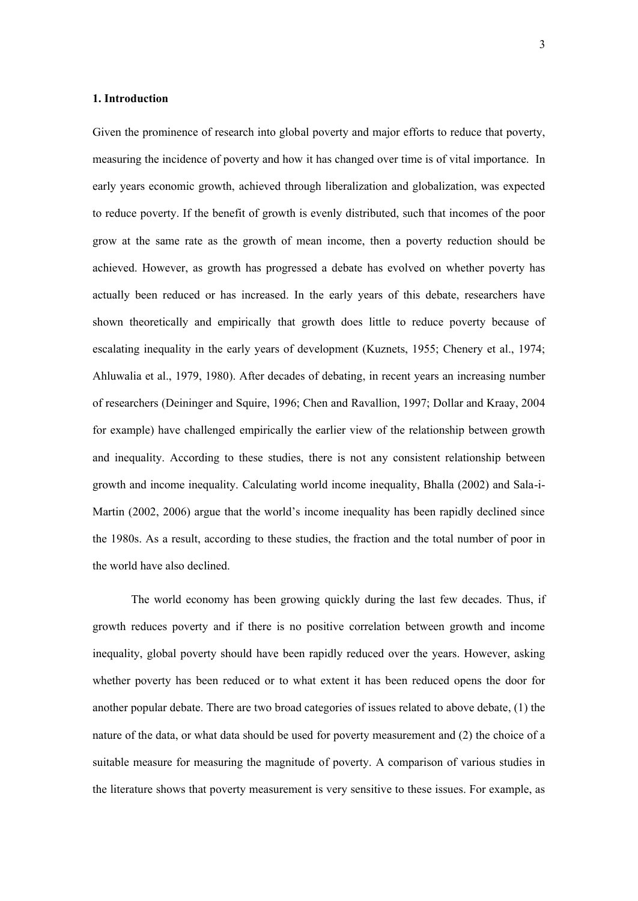#### **1. Introduction**

Given the prominence of research into global poverty and major efforts to reduce that poverty, measuring the incidence of poverty and how it has changed over time is of vital importance. In early years economic growth, achieved through liberalization and globalization, was expected to reduce poverty. If the benefit of growth is evenly distributed, such that incomes of the poor grow at the same rate as the growth of mean income, then a poverty reduction should be achieved. However, as growth has progressed a debate has evolved on whether poverty has actually been reduced or has increased. In the early years of this debate, researchers have shown theoretically and empirically that growth does little to reduce poverty because of escalating inequality in the early years of development (Kuznets, 1955; Chenery et al., 1974; Ahluwalia et al., 1979, 1980). After decades of debating, in recent years an increasing number of researchers (Deininger and Squire, 1996; Chen and Ravallion, 1997; Dollar and Kraay, 2004 for example) have challenged empirically the earlier view of the relationship between growth and inequality. According to these studies, there is not any consistent relationship between growth and income inequality. Calculating world income inequality, Bhalla (2002) and Sala-i-Martin (2002, 2006) argue that the world's income inequality has been rapidly declined since the 1980s. As a result, according to these studies, the fraction and the total number of poor in the world have also declined.

The world economy has been growing quickly during the last few decades. Thus, if growth reduces poverty and if there is no positive correlation between growth and income inequality, global poverty should have been rapidly reduced over the years. However, asking whether poverty has been reduced or to what extent it has been reduced opens the door for another popular debate. There are two broad categories of issues related to above debate, (1) the nature of the data, or what data should be used for poverty measurement and (2) the choice of a suitable measure for measuring the magnitude of poverty. A comparison of various studies in the literature shows that poverty measurement is very sensitive to these issues. For example, as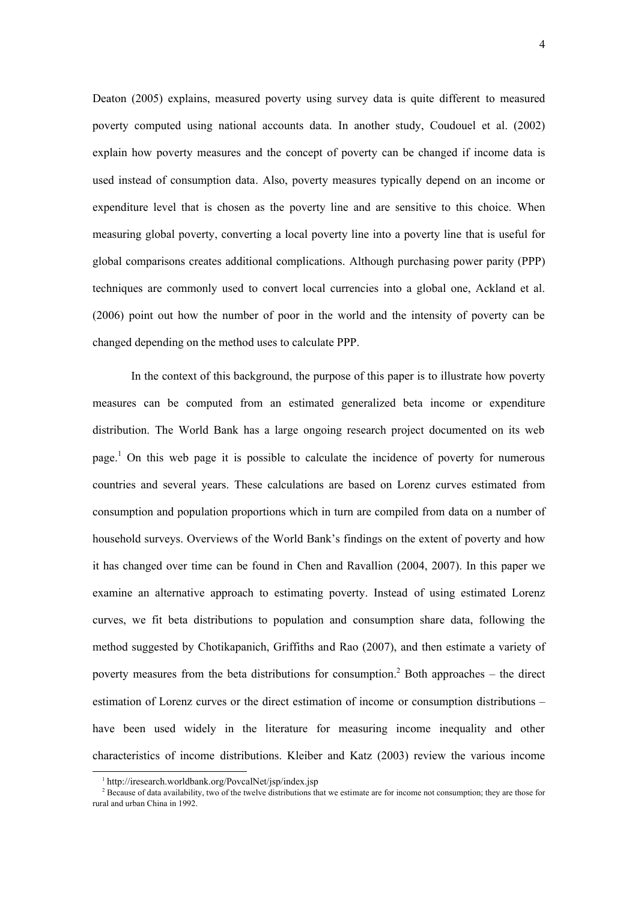Deaton (2005) explains, measured poverty using survey data is quite different to measured poverty computed using national accounts data. In another study, Coudouel et al. (2002) explain how poverty measures and the concept of poverty can be changed if income data is used instead of consumption data. Also, poverty measures typically depend on an income or expenditure level that is chosen as the poverty line and are sensitive to this choice. When measuring global poverty, converting a local poverty line into a poverty line that is useful for global comparisons creates additional complications. Although purchasing power parity (PPP) techniques are commonly used to convert local currencies into a global one, Ackland et al. (2006) point out how the number of poor in the world and the intensity of poverty can be changed depending on the method uses to calculate PPP.

In the context of this background, the purpose of this paper is to illustrate how poverty measures can be computed from an estimated generalized beta income or expenditure distribution. The World Bank has a large ongoing research project documented on its web page.<sup>1</sup> On this web page it is possible to calculate the incidence of poverty for numerous countries and several years. These calculations are based on Lorenz curves estimated from consumption and population proportions which in turn are compiled from data on a number of household surveys. Overviews of the World Bank's findings on the extent of poverty and how it has changed over time can be found in Chen and Ravallion (2004, 2007). In this paper we examine an alternative approach to estimating poverty. Instead of using estimated Lorenz curves, we fit beta distributions to population and consumption share data, following the method suggested by Chotikapanich, Griffiths and Rao (2007), and then estimate a variety of poverty measures from the beta distributions for consumption.<sup>2</sup> Both approaches – the direct estimation of Lorenz curves or the direct estimation of income or consumption distributions – have been used widely in the literature for measuring income inequality and other characteristics of income distributions. Kleiber and Katz (2003) review the various income

-

<sup>1</sup> http://iresearch.worldbank.org/PovcalNet/jsp/index.jsp

 $2^2$  Because of data availability, two of the twelve distributions that we estimate are for income not consumption; they are those for rural and urban China in 1992.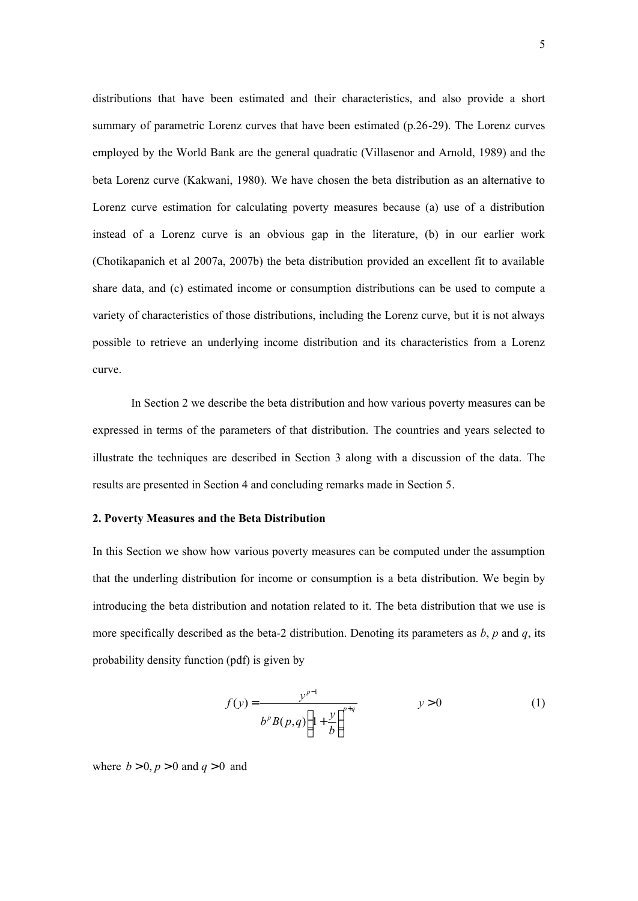distributions that have been estimated and their characteristics, and also provide a short summary of parametric Lorenz curves that have been estimated (p.26-29). The Lorenz curves employed by the World Bank are the general quadratic (Villasenor and Arnold, 1989) and the beta Lorenz curve (Kakwani, 1980). We have chosen the beta distribution as an alternative to Lorenz curve estimation for calculating poverty measures because (a) use of a distribution instead of a Lorenz curve is an obvious gap in the literature, (b) in our earlier work (Chotikapanich et al 2007a, 2007b) the beta distribution provided an excellent fit to available share data, and (c) estimated income or consumption distributions can be used to compute a variety of characteristics of those distributions, including the Lorenz curve, but it is not always possible to retrieve an underlying income distribution and its characteristics from a Lorenz curve.

In Section 2 we describe the beta distribution and how various poverty measures can be expressed in terms of the parameters of that distribution. The countries and years selected to illustrate the techniques are described in Section 3 along with a discussion of the data. The results are presented in Section 4 and concluding remarks made in Section 5.

#### **2. Poverty Measures and the Beta Distribution**

In this Section we show how various poverty measures can be computed under the assumption that the underling distribution for income or consumption is a beta distribution. We begin by introducing the beta distribution and notation related to it. The beta distribution that we use is more specifically described as the beta-2 distribution. Denoting its parameters as *b*, *p* and *q*, its probability density function (pdf) is given by

$$
f(y) = \frac{y^{p-1}}{b^p B(p,q) \left(1 + \frac{y}{b}\right)^{p+q}}
$$
  $y > 0$  (1)

where  $b > 0$ ,  $p > 0$  and  $q > 0$  and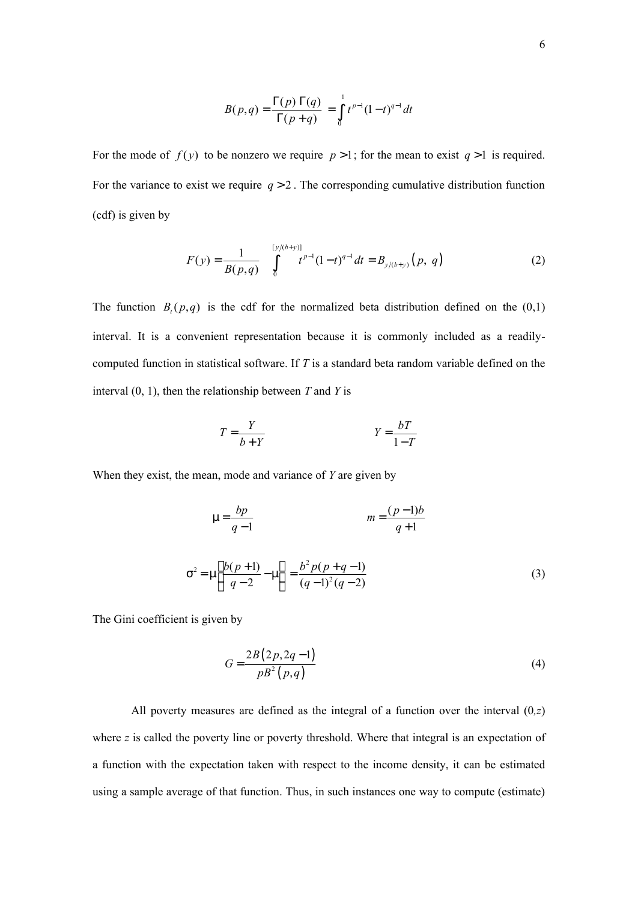$$
B(p,q) = \frac{\Gamma(p) \Gamma(q)}{\Gamma(p+q)} = \int_{0}^{1} t^{p-1} (1-t)^{q-1} dt
$$

For the mode of  $f(y)$  to be nonzero we require  $p > 1$ ; for the mean to exist  $q > 1$  is required. For the variance to exist we require  $q > 2$ . The corresponding cumulative distribution function (cdf) is given by

$$
F(y) = \frac{1}{B(p,q)} \int_{0}^{\lfloor y/(b+y) \rfloor} t^{p-1} (1-t)^{q-1} dt = B_{y/(b+y)}(p, q)
$$
 (2)

The function  $B_t(p,q)$  is the cdf for the normalized beta distribution defined on the  $(0,1)$ interval. It is a convenient representation because it is commonly included as a readilycomputed function in statistical software. If *T* is a standard beta random variable defined on the interval (0, 1), then the relationship between *T* and *Y* is

$$
T = \frac{Y}{b+Y}
$$
 
$$
Y = \frac{bT}{1-T}
$$

When they exist, the mean, mode and variance of *Y* are given by

$$
\mu = \frac{bp}{q-1} \qquad m = \frac{(p-1)b}{q+1}
$$

$$
\sigma^2 = \mu \left[ \frac{b(p+1)}{q-2} - \mu \right] = \frac{b^2 p(p+q-1)}{(q-1)^2 (q-2)} \tag{3}
$$

The Gini coefficient is given by

$$
G = \frac{2B(2p, 2q-1)}{pB^2(p, q)}
$$
(4)

All poverty measures are defined as the integral of a function over the interval  $(0, z)$ where *z* is called the poverty line or poverty threshold. Where that integral is an expectation of a function with the expectation taken with respect to the income density, it can be estimated using a sample average of that function. Thus, in such instances one way to compute (estimate)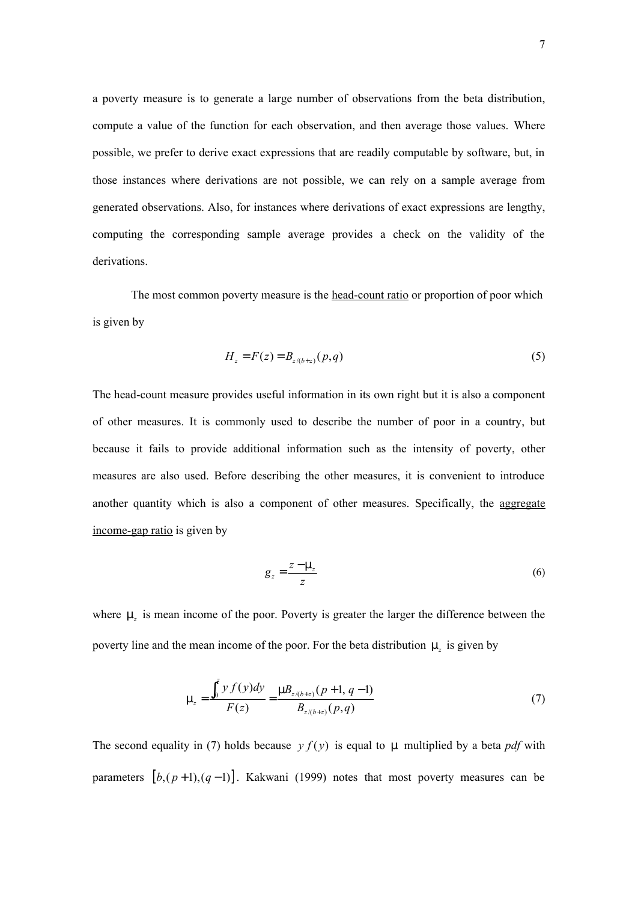a poverty measure is to generate a large number of observations from the beta distribution, compute a value of the function for each observation, and then average those values. Where possible, we prefer to derive exact expressions that are readily computable by software, but, in those instances where derivations are not possible, we can rely on a sample average from generated observations. Also, for instances where derivations of exact expressions are lengthy, computing the corresponding sample average provides a check on the validity of the derivations.

The most common poverty measure is the head-count ratio or proportion of poor which is given by

$$
H_z = F(z) = B_{z/(b+z)}(p,q)
$$
 (5)

The head-count measure provides useful information in its own right but it is also a component of other measures. It is commonly used to describe the number of poor in a country, but because it fails to provide additional information such as the intensity of poverty, other measures are also used. Before describing the other measures, it is convenient to introduce another quantity which is also a component of other measures. Specifically, the aggregate income-gap ratio is given by

$$
g_z = \frac{z - \mu_z}{z} \tag{6}
$$

where  $\mu_z$  is mean income of the poor. Poverty is greater the larger the difference between the poverty line and the mean income of the poor. For the beta distribution  $\mu_z$  is given by

$$
\mu_z = \frac{\int_0^z y f(y) dy}{F(z)} = \frac{\mu B_{z/(b+z)}(p+1, q-1)}{B_{z/(b+z)}(p, q)}
$$
(7)

The second equality in (7) holds because  $y f(y)$  is equal to  $\mu$  multiplied by a beta *pdf* with parameters  $[b,(p+1),(q-1)]$ . Kakwani (1999) notes that most poverty measures can be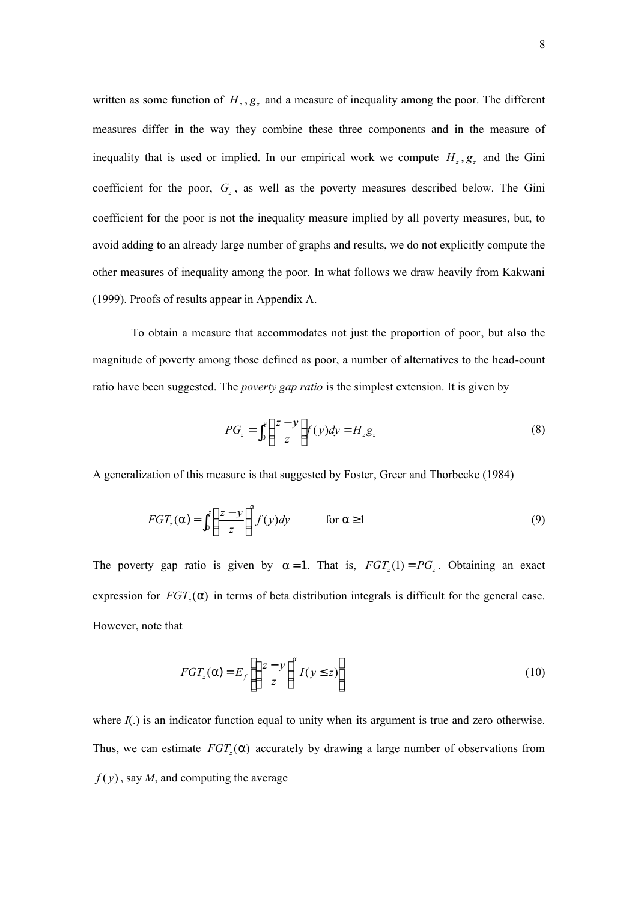written as some function of  $H_z$ ,  $g_z$  and a measure of inequality among the poor. The different measures differ in the way they combine these three components and in the measure of inequality that is used or implied. In our empirical work we compute  $H_z$ ,  $g_z$  and the Gini coefficient for the poor,  $G_z$ , as well as the poverty measures described below. The Gini coefficient for the poor is not the inequality measure implied by all poverty measures, but, to avoid adding to an already large number of graphs and results, we do not explicitly compute the other measures of inequality among the poor. In what follows we draw heavily from Kakwani (1999). Proofs of results appear in Appendix A.

To obtain a measure that accommodates not just the proportion of poor, but also the magnitude of poverty among those defined as poor, a number of alternatives to the head-count ratio have been suggested. The *poverty gap ratio* is the simplest extension. It is given by

$$
PG_z = \int_0^z \left(\frac{z-y}{z}\right) f(y) dy = H_z g_z \tag{8}
$$

A generalization of this measure is that suggested by Foster, Greer and Thorbecke (1984)

$$
FGT_z(\alpha) = \int_0^z \left(\frac{z-y}{z}\right)^{\alpha} f(y) dy \qquad \text{for } \alpha \ge 1
$$
 (9)

The poverty gap ratio is given by  $\alpha = 1$ . That is,  $FGT_z(1) = PG_z$ . Obtaining an exact expression for  $FGT<sub>z</sub>(\alpha)$  in terms of beta distribution integrals is difficult for the general case. However, note that

$$
FGT_z(\alpha) = E_f \left[ \left( \frac{z - y}{z} \right)^{\alpha} I(y \le z) \right]
$$
 (10)

where  $I(.)$  is an indicator function equal to unity when its argument is true and zero otherwise. Thus, we can estimate  $FGT<sub>z</sub>(\alpha)$  accurately by drawing a large number of observations from  $f(y)$ , say *M*, and computing the average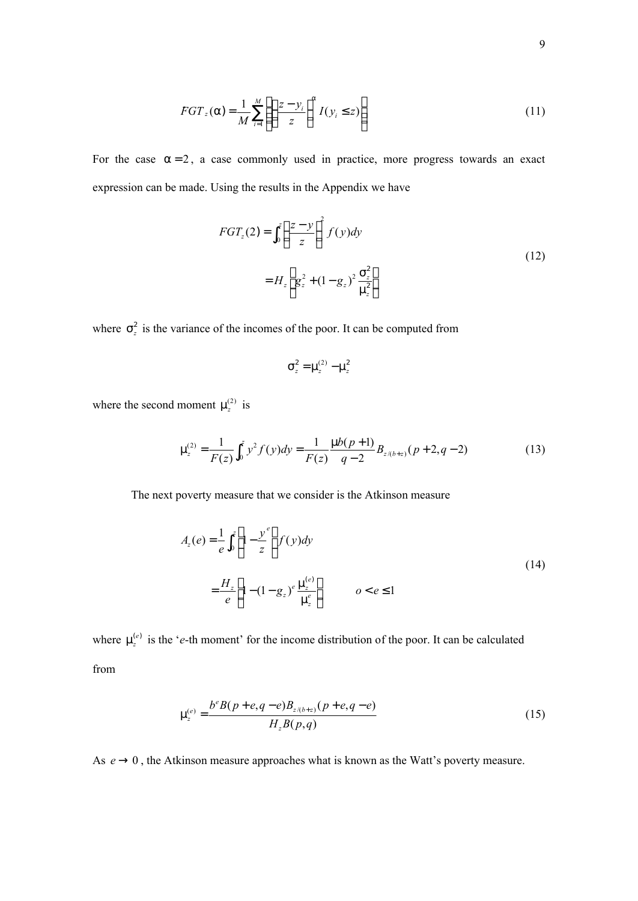$$
FGT_z(\alpha) = \frac{1}{M} \sum_{i=1}^{M} \left( \left( \frac{z - y_i}{z} \right)^{\alpha} I(y_i \le z) \right)
$$
 (11)

For the case  $\alpha = 2$ , a case commonly used in practice, more progress towards an exact expression can be made. Using the results in the Appendix we have

$$
FGT_z(2) = \int_0^z \left(\frac{z - y}{z}\right)^2 f(y) dy
$$
  
=  $H_z \left[g_z^2 + (1 - g_z)^2 \frac{\sigma_z^2}{\mu_z^2}\right]$  (12)

where  $\sigma_z^2$  is the variance of the incomes of the poor. It can be computed from

$$
\sigma_z^2 = \mu_z^{(2)} - \mu_z^2
$$

where the second moment  $\mu_z^{(2)}$  is

$$
\mu_z^{(2)} = \frac{1}{F(z)} \int_0^z y^2 f(y) dy = \frac{1}{F(z)} \frac{\mu b(p+1)}{q-2} B_{z/(b+z)}(p+2, q-2)
$$
 (13)

The next poverty measure that we consider is the Atkinson measure

$$
A_z(e) = \frac{1}{e} \int_0^z \left[ 1 - \frac{y^e}{z} \right] f(y) dy
$$
  

$$
= \frac{H_z}{e} \left[ 1 - (1 - g_z)^e \frac{\mu_z^{(e)}}{\mu_z^e} \right] \qquad \quad o < e \le 1
$$
 (14)

where  $\mu_z^{(e)}$  is the '*e*-th moment' for the income distribution of the poor. It can be calculated from

$$
\mu_z^{(e)} = \frac{b^e B(p+e, q-e)B_{z/(b+z)}(p+e, q-e)}{H_z B(p, q)}
$$
\n(15)

As  $e \rightarrow 0$ , the Atkinson measure approaches what is known as the Watt's poverty measure.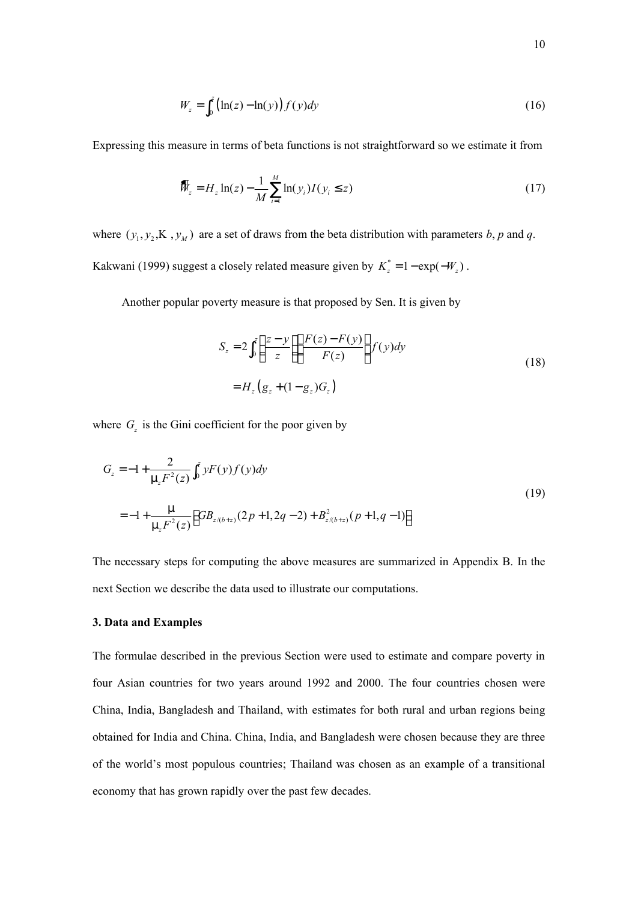$$
W_z = \int_0^z \left( \ln(z) - \ln(y) \right) f(y) dy \tag{16}
$$

Expressing this measure in terms of beta functions is not straightforward so we estimate it from

$$
\bar{W}_z = H_z \ln(z) - \frac{1}{M} \sum_{i=1}^{M} \ln(y_i) I(y_i \le z)
$$
\n(17)

where  $(y_1, y_2, K, y_2)$  are a set of draws from the beta distribution with parameters *b*, *p* and *q*. Kakwani (1999) suggest a closely related measure given by  $K_z^* = 1 - \exp(-W_z)$ .

Another popular poverty measure is that proposed by Sen. It is given by

$$
S_z = 2\int_0^z \left(\frac{z-y}{z}\right) \left(\frac{F(z)-F(y)}{F(z)}\right) f(y) dy
$$
  
=  $H_z (g_z + (1-g_z)G_z)$  (18)

where  $G_z$  is the Gini coefficient for the poor given by

$$
G_z = -1 + \frac{2}{\mu_z F^2(z)} \int_0^z y F(y) f(y) dy
$$
  
= -1 +  $\frac{\mu}{\mu_z F^2(z)} \Big[ GB_{z/(b+z)}(2p+1, 2q-2) + B_{z/(b+z)}^2(p+1, q-1) \Big]$  (19)

The necessary steps for computing the above measures are summarized in Appendix B. In the next Section we describe the data used to illustrate our computations.

### **3. Data and Examples**

The formulae described in the previous Section were used to estimate and compare poverty in four Asian countries for two years around 1992 and 2000. The four countries chosen were China, India, Bangladesh and Thailand, with estimates for both rural and urban regions being obtained for India and China. China, India, and Bangladesh were chosen because they are three of the world's most populous countries; Thailand was chosen as an example of a transitional economy that has grown rapidly over the past few decades.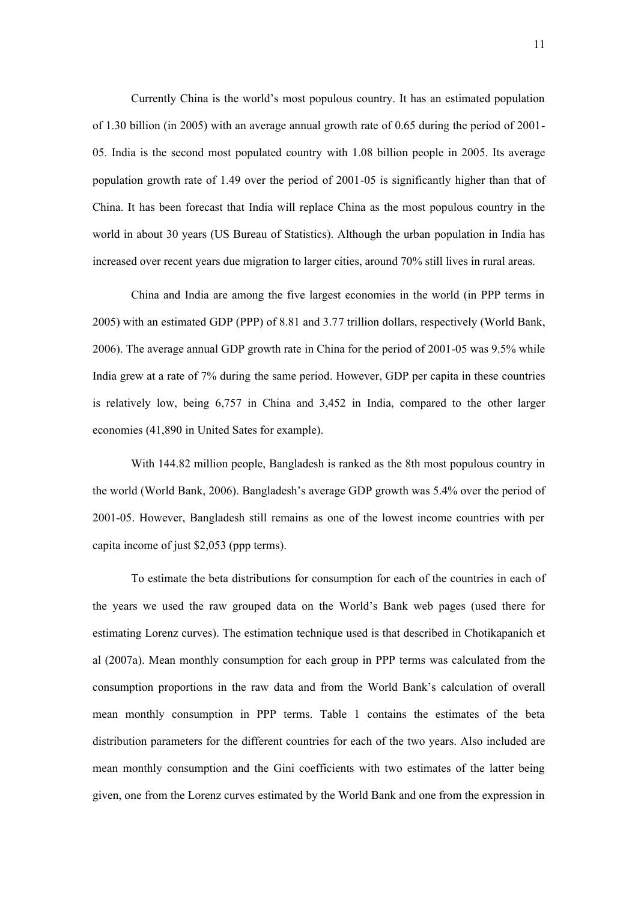Currently China is the world's most populous country. It has an estimated population of 1.30 billion (in 2005) with an average annual growth rate of 0.65 during the period of 2001- 05. India is the second most populated country with 1.08 billion people in 2005. Its average population growth rate of 1.49 over the period of 2001-05 is significantly higher than that of China. It has been forecast that India will replace China as the most populous country in the world in about 30 years (US Bureau of Statistics). Although the urban population in India has increased over recent years due migration to larger cities, around 70% still lives in rural areas.

China and India are among the five largest economies in the world (in PPP terms in 2005) with an estimated GDP (PPP) of 8.81 and 3.77 trillion dollars, respectively (World Bank, 2006). The average annual GDP growth rate in China for the period of 2001-05 was 9.5% while India grew at a rate of 7% during the same period. However, GDP per capita in these countries is relatively low, being 6,757 in China and 3,452 in India, compared to the other larger economies (41,890 in United Sates for example).

With 144.82 million people, Bangladesh is ranked as the 8th most populous country in the world (World Bank, 2006). Bangladesh's average GDP growth was 5.4% over the period of 2001-05. However, Bangladesh still remains as one of the lowest income countries with per capita income of just \$2,053 (ppp terms).

To estimate the beta distributions for consumption for each of the countries in each of the years we used the raw grouped data on the World's Bank web pages (used there for estimating Lorenz curves). The estimation technique used is that described in Chotikapanich et al (2007a). Mean monthly consumption for each group in PPP terms was calculated from the consumption proportions in the raw data and from the World Bank's calculation of overall mean monthly consumption in PPP terms. Table 1 contains the estimates of the beta distribution parameters for the different countries for each of the two years. Also included are mean monthly consumption and the Gini coefficients with two estimates of the latter being given, one from the Lorenz curves estimated by the World Bank and one from the expression in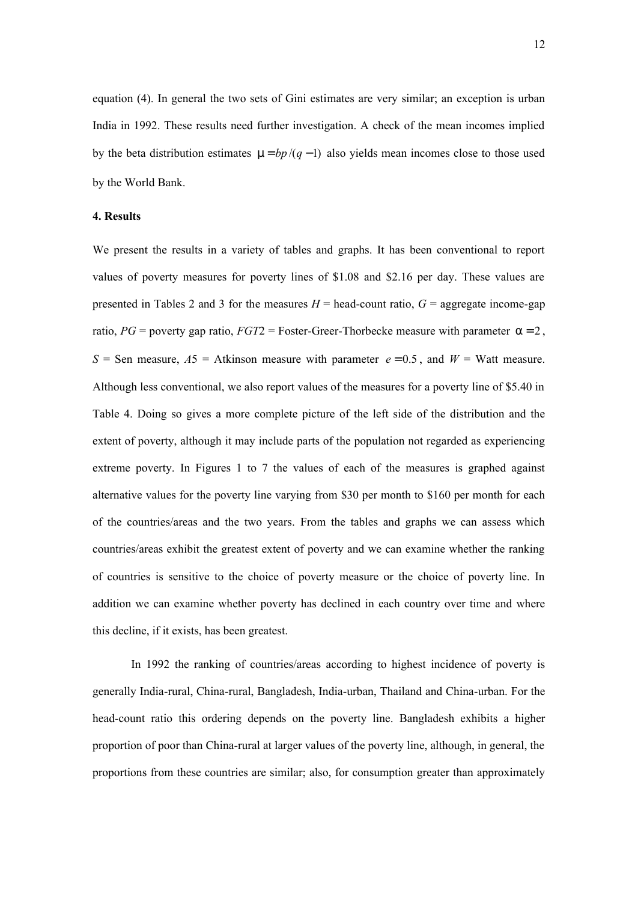equation (4). In general the two sets of Gini estimates are very similar; an exception is urban India in 1992. These results need further investigation. A check of the mean incomes implied by the beta distribution estimates  $\mu = bp/(q-1)$  also yields mean incomes close to those used by the World Bank.

#### **4. Results**

We present the results in a variety of tables and graphs. It has been conventional to report values of poverty measures for poverty lines of \$1.08 and \$2.16 per day. These values are presented in Tables 2 and 3 for the measures  $H =$  head-count ratio,  $G =$  aggregate income-gap ratio,  $PG =$  poverty gap ratio,  $FGT2 =$  Foster-Greer-Thorbecke measure with parameter  $\alpha = 2$ , *S* = Sen measure,  $A5$  = Atkinson measure with parameter  $e = 0.5$ , and  $W =$  Watt measure. Although less conventional, we also report values of the measures for a poverty line of \$5.40 in Table 4. Doing so gives a more complete picture of the left side of the distribution and the extent of poverty, although it may include parts of the population not regarded as experiencing extreme poverty. In Figures 1 to 7 the values of each of the measures is graphed against alternative values for the poverty line varying from \$30 per month to \$160 per month for each of the countries/areas and the two years. From the tables and graphs we can assess which countries/areas exhibit the greatest extent of poverty and we can examine whether the ranking of countries is sensitive to the choice of poverty measure or the choice of poverty line. In addition we can examine whether poverty has declined in each country over time and where this decline, if it exists, has been greatest.

In 1992 the ranking of countries/areas according to highest incidence of poverty is generally India-rural, China-rural, Bangladesh, India-urban, Thailand and China-urban. For the head-count ratio this ordering depends on the poverty line. Bangladesh exhibits a higher proportion of poor than China-rural at larger values of the poverty line, although, in general, the proportions from these countries are similar; also, for consumption greater than approximately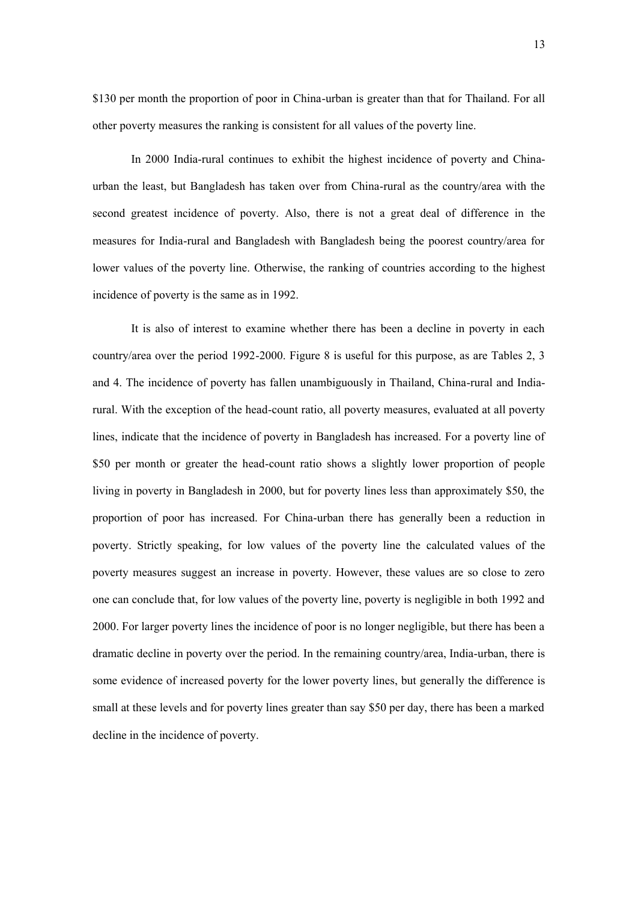\$130 per month the proportion of poor in China-urban is greater than that for Thailand. For all

other poverty measures the ranking is consistent for all values of the poverty line.

In 2000 India-rural continues to exhibit the highest incidence of poverty and Chinaurban the least, but Bangladesh has taken over from China-rural as the country/area with the second greatest incidence of poverty. Also, there is not a great deal of difference in the measures for India-rural and Bangladesh with Bangladesh being the poorest country/area for lower values of the poverty line. Otherwise, the ranking of countries according to the highest incidence of poverty is the same as in 1992.

It is also of interest to examine whether there has been a decline in poverty in each country/area over the period 1992-2000. Figure 8 is useful for this purpose, as are Tables 2, 3 and 4. The incidence of poverty has fallen unambiguously in Thailand, China-rural and Indiarural. With the exception of the head-count ratio, all poverty measures, evaluated at all poverty lines, indicate that the incidence of poverty in Bangladesh has increased. For a poverty line of \$50 per month or greater the head-count ratio shows a slightly lower proportion of people living in poverty in Bangladesh in 2000, but for poverty lines less than approximately \$50, the proportion of poor has increased. For China-urban there has generally been a reduction in poverty. Strictly speaking, for low values of the poverty line the calculated values of the poverty measures suggest an increase in poverty. However, these values are so close to zero one can conclude that, for low values of the poverty line, poverty is negligible in both 1992 and 2000. For larger poverty lines the incidence of poor is no longer negligible, but there has been a dramatic decline in poverty over the period. In the remaining country/area, India-urban, there is some evidence of increased poverty for the lower poverty lines, but generally the difference is small at these levels and for poverty lines greater than say \$50 per day, there has been a marked decline in the incidence of poverty.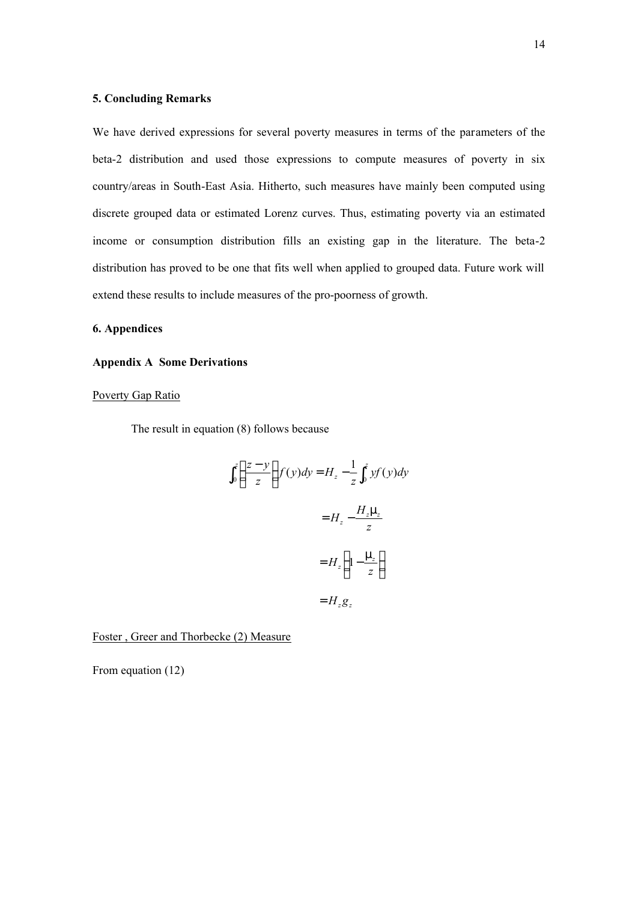#### **5. Concluding Remarks**

We have derived expressions for several poverty measures in terms of the parameters of the beta-2 distribution and used those expressions to compute measures of poverty in six country/areas in South-East Asia. Hitherto, such measures have mainly been computed using discrete grouped data or estimated Lorenz curves. Thus, estimating poverty via an estimated income or consumption distribution fills an existing gap in the literature. The beta-2 distribution has proved to be one that fits well when applied to grouped data. Future work will extend these results to include measures of the pro-poorness of growth.

#### **6. Appendices**

#### **Appendix A Some Derivations**

#### Poverty Gap Ratio

The result in equation (8) follows because

$$
\int_0^z \left(\frac{z-y}{z}\right) f(y) dy = H_z - \frac{1}{z} \int_0^z y f(y) dy
$$

$$
= H_z - \frac{H_z \mu_z}{z}
$$

$$
= H_z \left(1 - \frac{\mu_z}{z}\right)
$$

$$
= H_z g_z
$$

Foster , Greer and Thorbecke (2) Measure

From equation (12)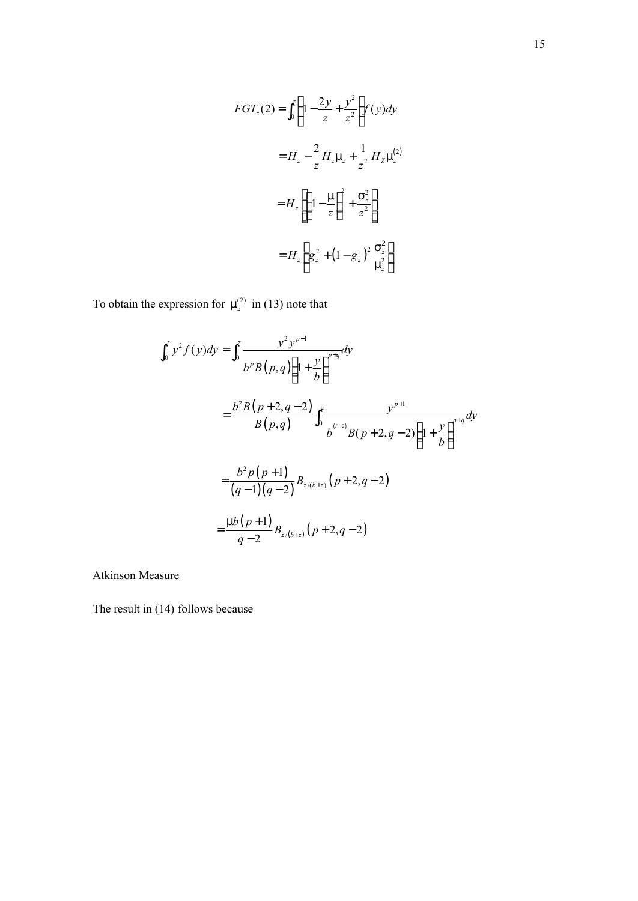$$
FGT_z(2) = \int_0^z \left(1 - \frac{2y}{z} + \frac{y^2}{z^2}\right) f(y) dy
$$
  

$$
= H_z - \frac{2}{z} H_z \mu_z + \frac{1}{z^2} H_z \mu_z^{(2)}
$$
  

$$
= H_z \left[ \left(1 - \frac{\mu}{z}\right)^2 + \frac{\sigma_z^2}{z^2} \right]
$$
  

$$
= H_z \left[ g_z^2 + \left(1 - g_z\right)^2 \frac{\sigma_z^2}{\mu_z^2} \right]
$$

To obtain the expression for  $\mu_z^{(2)}$  in (13) note that

$$
\int_{0}^{z} y^{2} f(y) dy = \int_{0}^{z} \frac{y^{2} y^{p-1}}{b^{p} B(p,q) \left(1 + \frac{y}{b}\right)^{p+q}} dy
$$
  

$$
= \frac{b^{2} B(p+2,q-2)}{B(p,q)} \int_{0}^{z} \frac{y^{p+1}}{b^{(p+2)}} B(p+2,q-2) \left(1 + \frac{y}{b}\right)^{p+q} dy
$$
  

$$
= \frac{b^{2} p(p+1)}{(q-1)(q-2)} B_{z/(b+z)} (p+2,q-2)
$$
  

$$
= \frac{\mu b(p+1)}{q-2} B_{z/(b+z)} (p+2,q-2)
$$

Atkinson Measure

The result in (14) follows because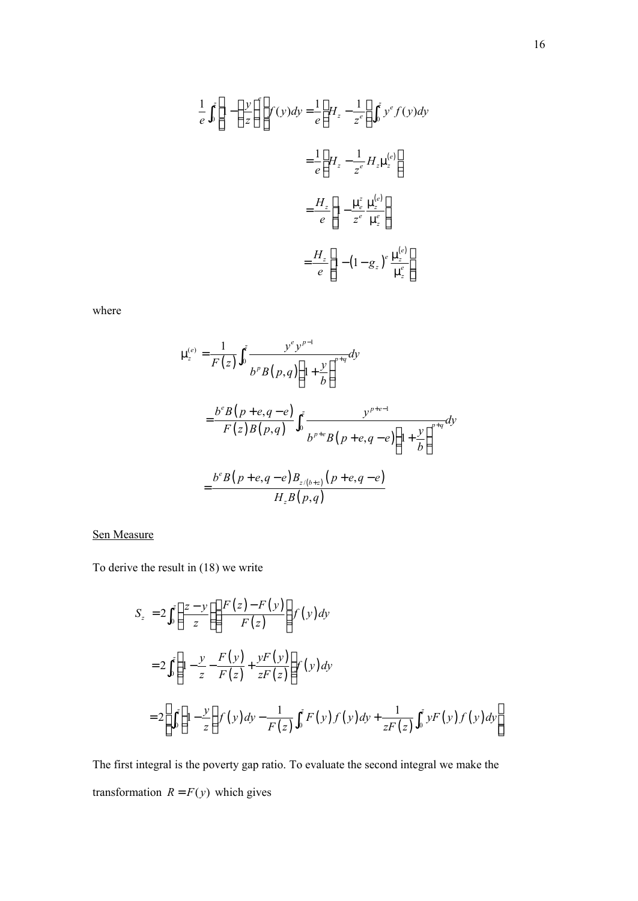$$
\frac{1}{e} \int_0^z \left[ 1 - \left(\frac{y}{z}\right)^e \right] f(y) dy = \frac{1}{e} \left[ H_z - \frac{1}{z^e} \right] \int_0^z y^e f(y) dy
$$

$$
= \frac{1}{e} \left[ H_z - \frac{1}{z^e} H_z \mu_z^{(e)} \right]
$$

$$
= \frac{H_z}{e} \left[ 1 - \frac{\mu_e^z}{z^e} \frac{\mu_z^{(e)}}{\mu_z^e} \right]
$$

$$
= \frac{H_z}{e} \left[ 1 - \left( 1 - g_z \right)^e \frac{\mu_z^{(e)}}{\mu_z^e} \right]
$$

where

$$
\mu_z^{(e)} = \frac{1}{F(z)} \int_0^z \frac{y^e y^{p-1}}{b^p B(p,q) \left(1 + \frac{y}{b}\right)^{p+q}} dy
$$
  
=  $\frac{b^e B(p+e,q-e)}{F(z) B(p,q)} \int_0^z \frac{y^{p+e-1}}{b^{p+e} B(p+e,q-e) \left(1 + \frac{y}{b}\right)^{p+q}} dy$   
=  $\frac{b^e B(p+e,q-e) B_{z/(b+z)}(p+e,q-e)}{H_z B(p,q)}$ 

## Sen Measure

To derive the result in (18) we write

$$
S_z = 2 \int_0^z \left( \frac{z - y}{z} \right) \left( \frac{F(z) - F(y)}{F(z)} \right) f(y) dy
$$
  
= 
$$
2 \int_0^z \left( 1 - \frac{y}{z} - \frac{F(y)}{F(z)} + \frac{yF(y)}{zF(z)} \right) f(y) dy
$$
  
= 
$$
2 \left[ \int_0^z \left( 1 - \frac{y}{z} \right) f(y) dy - \frac{1}{F(z)} \int_0^z F(y) f(y) dy + \frac{1}{zF(z)} \int_0^z yF(y) f(y) dy \right]
$$

The first integral is the poverty gap ratio. To evaluate the second integral we make the transformation  $R = F(y)$  which gives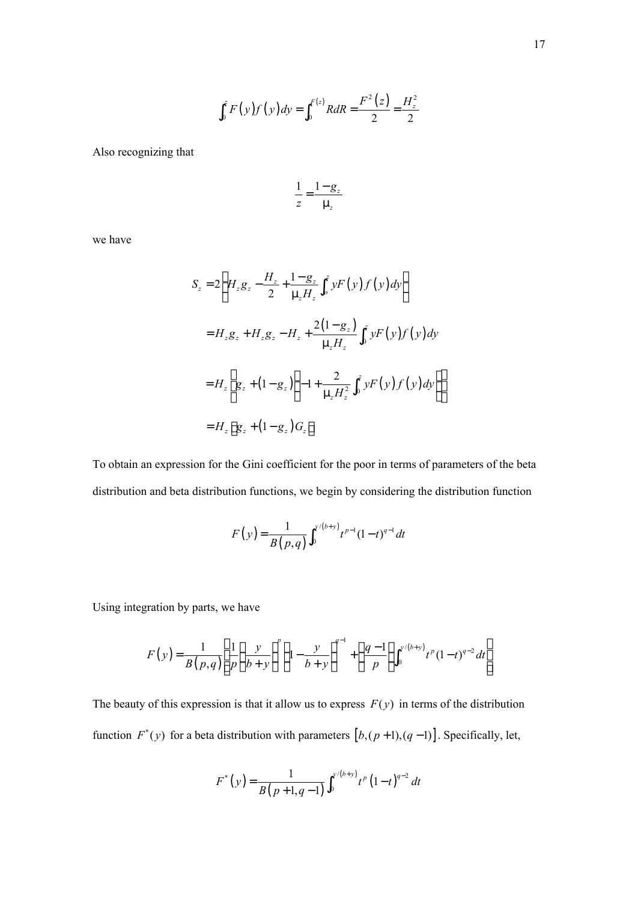$$
\int_0^z F(y)f(y)dy = \int_0^{F(z)} R dR = \frac{F^2(z)}{2} = \frac{H_z^2}{2}
$$

Also recognizing that

$$
\frac{1}{z} = \frac{1 - g_z}{\mu_z}
$$

we have

$$
S_z = 2\left[H_z g_z - \frac{H_z}{2} + \frac{1 - g_z}{\mu_z H_z} \int_0^z y F(y) f(y) dy\right]
$$
  
=  $H_z g_z + H_z g_z - H_z + \frac{2(1 - g_z)}{\mu_z H_z} \int_0^z y F(y) f(y) dy$   
=  $H_z \left[g_z + (1 - g_z) \left(-1 + \frac{2}{\mu_z H_z^2} \int_0^z y F(y) f(y) dy\right)\right]$   
=  $H_z \left[g_z + (1 - g_z) G_z\right]$ 

To obtain an expression for the Gini coefficient for the poor in terms of parameters of the beta distribution and beta distribution functions, we begin by considering the distribution function

$$
F(y) = \frac{1}{B(p,q)} \int_0^{y/(b+y)} t^{p-1} (1-t)^{q-1} dt
$$

Using integration by parts, we have

$$
F(y) = \frac{1}{B(p,q)} \left[ \frac{1}{p} \left( \frac{y}{b+y} \right)^p \left( 1 - \frac{y}{b+y} \right)^{q-1} + \left( \frac{q-1}{p} \right) \int_0^{y/(b+y)} t^p (1-t)^{q-2} dt \right]
$$

The beauty of this expression is that it allow us to express  $F(y)$  in terms of the distribution function  $F^*(y)$  for a beta distribution with parameters  $[b,(p+1),(q-1)]$ . Specifically, let,

$$
F^{*}(y) = \frac{1}{B(p+1,q-1)} \int_0^{y/(b+y)} t^{p} (1-t)^{q-2} dt
$$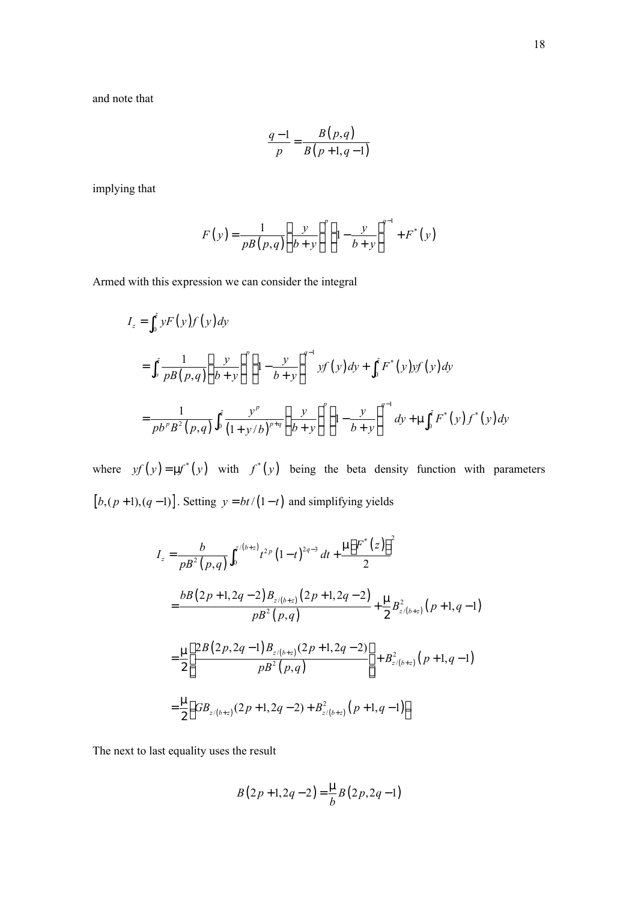$$
\frac{q-1}{p} = \frac{B(p,q)}{B(p+1,q-1)}
$$

implying that

$$
F(y) = \frac{1}{pB(p,q)} \left(\frac{y}{b+y}\right)^p \left(1 - \frac{y}{b+y}\right)^{q-1} + F^*(y)
$$

Armed with this expression we can consider the integral

$$
I_z = \int_0^z y F(y) f(y) dy
$$
  
= 
$$
\int_0^z \frac{1}{p B(p,q)} \left( \frac{y}{b+y} \right)^p \left( 1 - \frac{y}{b+y} \right)^{q-1} y f(y) dy + \int_0^z F^*(y) y f(y) dy
$$
  
= 
$$
\frac{1}{p b^p B^2(p,q)} \int_0^z \frac{y^p}{(1+y/b)^{p+q}} \left( \frac{y}{b+y} \right)^p \left( 1 - \frac{y}{b+y} \right)^{q-1} dy + \mu \int_0^z F^*(y) f^*(y) dy
$$

where  $y f(y) = \mu f^*(y)$  with  $f^*(y)$  being the beta density function with parameters  $[b,(p+1),(q-1)]$ . Setting  $y = bt/(1-t)$  and simplifying yields

$$
I_z = \frac{b}{pB^2 (p,q)} \int_0^{z/(b+z)} t^{2p} (1-t)^{2q-3} dt + \frac{\mu [F^*(z)]^2}{2}
$$
  
\n
$$
= \frac{bB(2p+1,2q-2)B_{z/(b+z)} (2p+1,2q-2)}{pB^2 (p,q)} + \frac{\mu}{2} B_{z/(b+z)}^2 (p+1,q-1)
$$
  
\n
$$
= \frac{\mu}{2} \left[ \frac{2B(2p,2q-1)B_{z/(b+z)} (2p+1,2q-2)}{pB^2 (p,q)} \right] + B_{z/(b+z)}^2 (p+1,q-1)
$$
  
\n
$$
= \frac{\mu}{2} \left[ GB_{z/(b+z)} (2p+1,2q-2) + B_{z/(b+z)}^2 (p+1,q-1) \right]
$$

The next to last equality uses the result

$$
B(2p+1,2q-2) = \frac{\mu}{b}B(2p,2q-1)
$$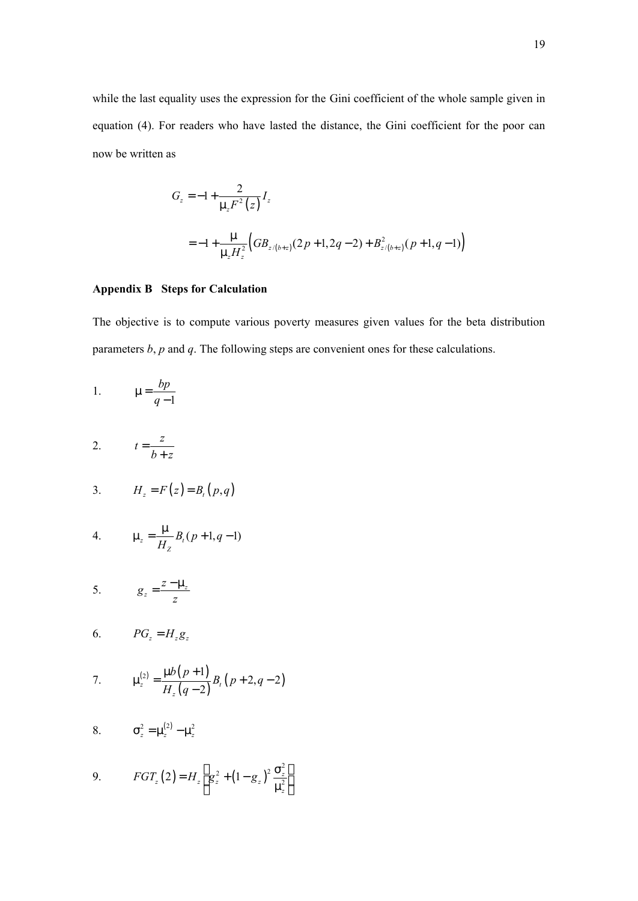while the last equality uses the expression for the Gini coefficient of the whole sample given in equation (4). For readers who have lasted the distance, the Gini coefficient for the poor can now be written as

$$
G_z = -1 + \frac{2}{\mu_z F^2(z)} I_z
$$
  
= -1 +  $\frac{\mu}{\mu_z H_z^2} \Big( GB_{z/(b+z)}(2p+1, 2q-2) + B_{z/(b+z)}^2(p+1, q-1) \Big)$ 

### **Appendix B Steps for Calculation**

The objective is to compute various poverty measures given values for the beta distribution parameters *b*, *p* and *q*. The following steps are convenient ones for these calculations.

1. 
$$
\mu = \frac{bp}{q-1}
$$

2.  $t = \frac{z}{t}$  $b + z$ = +

$$
3. \hspace{1cm} H_z = F(z) = B_t(p,q)
$$

4. 
$$
\mu_z = \frac{\mu}{H_z} B_t (p+1, q-1)
$$

$$
5. \hspace{1cm} g_z = \frac{z - \mu_z}{z}
$$

$$
6. \hspace{1cm} PG_z = H_z g_z
$$

7. 
$$
\mu_z^{(2)} = \frac{\mu b (p+1)}{H_z (q-2)} B_t (p+2,q-2)
$$

8. 
$$
\sigma_z^2 = \mu_z^{(2)} - \mu_z^2
$$

9. 
$$
FGT_z(2) = H_z \left[ g_z^2 + (1 - g_z)^2 \frac{\sigma_z^2}{\mu_z^2} \right]
$$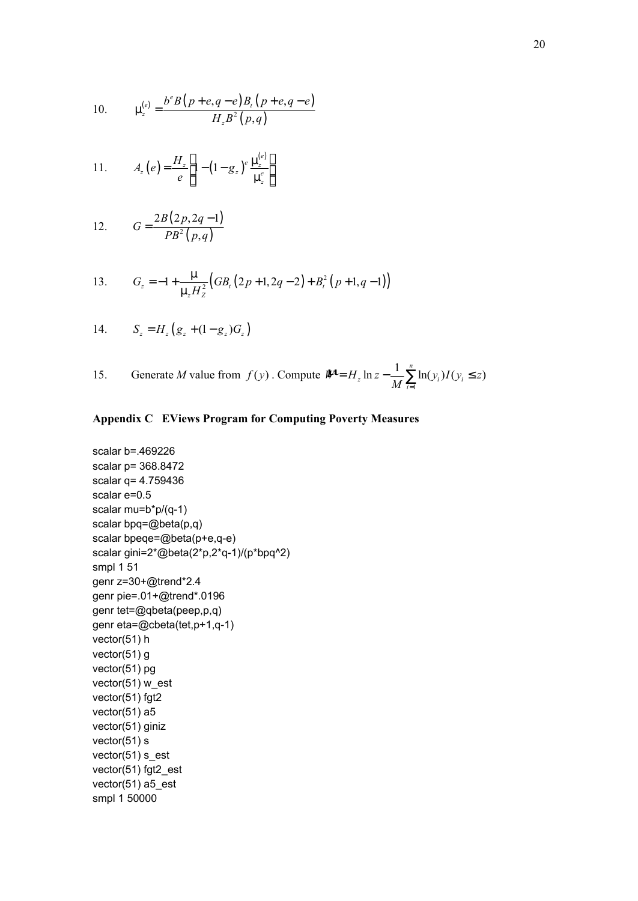10. 
$$
\mu_z^{(e)} = \frac{b^e B(p+e,q-e)B_r(p+e,q-e)}{H_z B^2(p,q)}
$$

11. 
$$
A_z(e) = \frac{H_z}{e} \left[ 1 - \left( 1 - g_z \right)^e \frac{\mu_z^{(e)}}{\mu_z^e} \right]
$$

12. 
$$
G = \frac{2B(2p, 2q-1)}{PB^2(p, q)}
$$

13. 
$$
G_z = -1 + \frac{\mu}{\mu_z H_z^2} \big( GB_t (2p+1, 2q-2) + B_t^2 (p+1, q-1) \big)
$$

14. 
$$
S_z = H_z(g_z + (1 - g_z)G_z)
$$

15. Generate *M* value from 
$$
f(y)
$$
. Compute  $W = H_z \ln z - \frac{1}{M} \sum_{i=1}^{n} \ln(y_i) I(y_i \le z)$ 

## **Appendix C EViews Program for Computing Poverty Measures**

```
scalar b=.469226
scalar p= 368.8472
scalar q= 4.759436
scalar e=0.5
scalar mu=b*p/(q-1)
scalar bpq=@beta(p,q)
scalar bpeqe=@beta(p+e,q-e)
scalar gini=2*@beta(2*p,2*q-1)/(p*bpq^2)
smpl 1 51
genr z=30+@trend*2.4
genr pie=.01+@trend*.0196
genr tet=@qbeta(peep,p,q)
genr eta=@cbeta(tet,p+1,q-1)
vector(51) h
vector(51) g
vector(51) pg
vector(51) w_est
vector(51) fgt2
vector(51) a5
vector(51) giniz
vector(51) s
vector(51) s_est
vector(51) fgt2_est
vector(51) a5_est
smpl 1 50000
```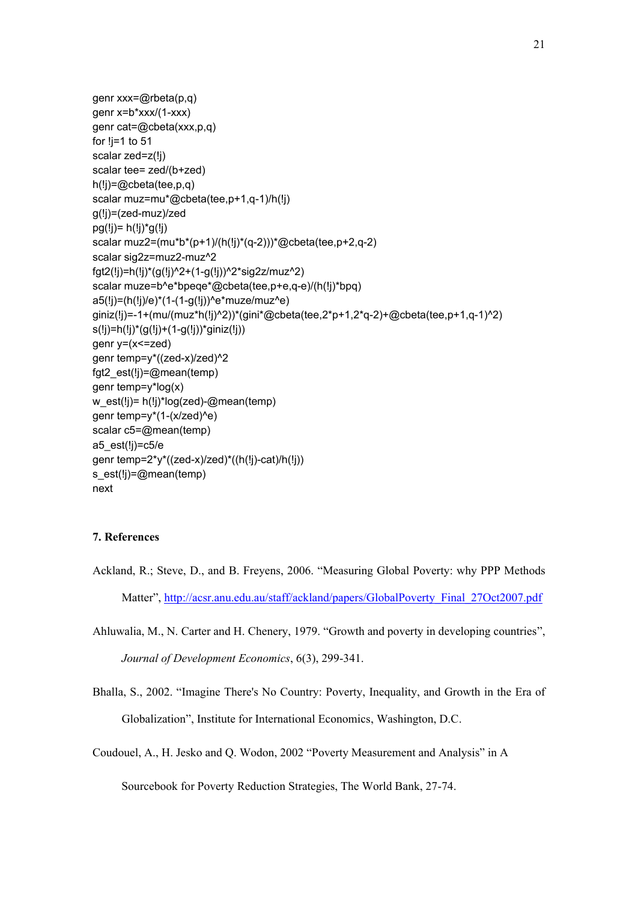```
genr xxx=@rbeta(p,q)
genr x=b*xxx/(1-xxx)
genr cat=@cbeta(xxx,p,q)
for !j=1 to 51
scalar zed=z(!j)
scalar tee= zed/(b+zed)
h(!j)=@cbeta(tee,p,q)
scalar muz=mu*@cbeta(tee,p+1,q-1)/h(!j)
g(!j)=(zed-muz)/zed
pg(!) = h(!) * g(!)scalar muz2=(mu*b*(p+1)/(h(!j)*(q-2)))*@cbeta(tee,p+2,q-2)
scalar sig2z=muz2-muz^2
fgt2(!j)=h(!j)*(g(!j)^2+(1-g(!j))^2*sig2z/muz^2)
scalar muze=b^e*bpeqe*@cbeta(tee,p+e,q-e)/(h(!j)*bpq)
a5(!j)=(h(!j)/e)*(1-(1-g(!j))^e*muze/muz^e)
giniz(!j)=-1+(mu/(muz*h(!j)^2))*(gini*@cbeta(tee,2*p+1,2*q-2)+@cbeta(tee,p+1,q-1)^2)
s(!j)=h(!j)*(g(!j)+(1-g(!j))*giniz(!j))
genr y=(x<=zed)
genr temp=y*((zed-x)/zed)^2
fgt2_est(!j)=@mean(temp)
genr temp=y*log(x)
w_est(!j)= h(!j)*log(zed)-@mean(temp)
genr temp=y*(1-(x/zed)^e)
scalar c5=@mean(temp)
a5_est(!j)=c5/e
genr temp=2*y*((zed-x)/zed)*((h(!j)-cat)/h(!j))
s_est(!j)=@mean(temp)
next
```
## **7. References**

- Ackland, R.; Steve, D., and B. Freyens, 2006. "Measuring Global Poverty: why PPP Methods Matter", http://acsr.anu.edu.au/staff/ackland/papers/GlobalPoverty\_Final\_27Oct2007.pdf
- Ahluwalia, M., N. Carter and H. Chenery, 1979. "Growth and poverty in developing countries", *Journal of Development Economics*, 6(3), 299-341.
- Bhalla, S., 2002. "Imagine There's No Country: Poverty, Inequality, and Growth in the Era of Globalization", Institute for International Economics, Washington, D.C.
- Coudouel, A., H. Jesko and Q. Wodon, 2002 "Poverty Measurement and Analysis" in A

Sourcebook for Poverty Reduction Strategies, The World Bank, 27-74.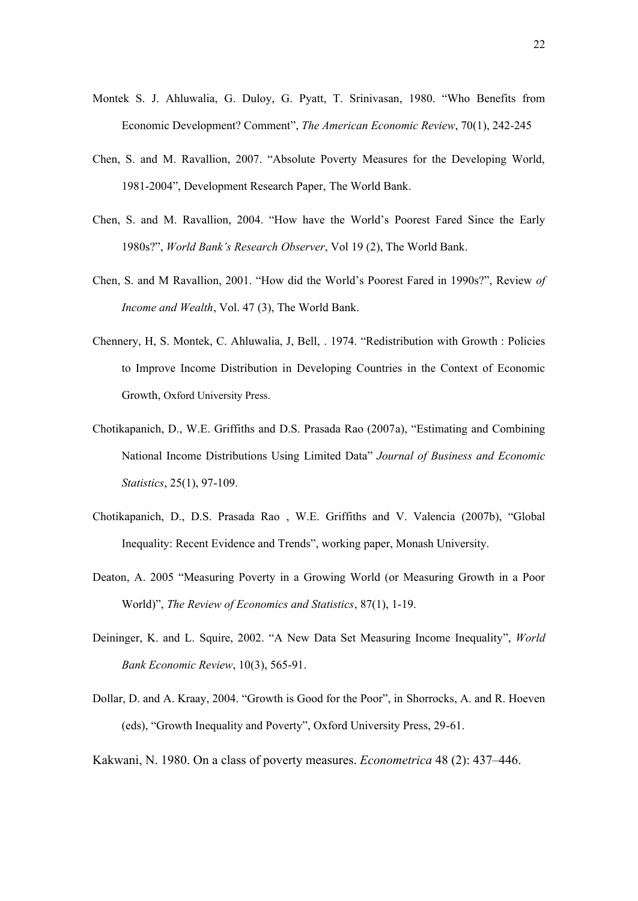- Montek S. J. Ahluwalia, G. Duloy, G. Pyatt, T. Srinivasan, 1980. "Who Benefits from Economic Development? Comment", *The American Economic Review*, 70(1), 242-245
- Chen, S. and M. Ravallion, 2007. "Absolute Poverty Measures for the Developing World, 1981-2004", Development Research Paper, The World Bank.
- Chen, S. and M. Ravallion, 2004. "How have the World's Poorest Fared Since the Early 1980s?", *World Bank's Research Observer*, Vol 19 (2), The World Bank.
- Chen, S. and M Ravallion, 2001. "How did the World's Poorest Fared in 1990s?", Review *of Income and Wealth*, Vol. 47 (3), The World Bank.
- Chennery, H, S. Montek, C. Ahluwalia, J, Bell, . 1974. "Redistribution with Growth : Policies to Improve Income Distribution in Developing Countries in the Context of Economic Growth, Oxford University Press.
- Chotikapanich, D., W.E. Griffiths and D.S. Prasada Rao (2007a), "Estimating and Combining National Income Distributions Using Limited Data" *Journal of Business and Economic Statistics*, 25(1), 97-109.
- Chotikapanich, D., D.S. Prasada Rao , W.E. Griffiths and V. Valencia (2007b), "Global Inequality: Recent Evidence and Trends", working paper, Monash University.
- Deaton, A. 2005 "Measuring Poverty in a Growing World (or Measuring Growth in a Poor World)", *The Review of Economics and Statistics*, 87(1), 1-19.
- Deininger, K. and L. Squire, 2002. "A New Data Set Measuring Income Inequality", *World Bank Economic Review*, 10(3), 565-91.
- Dollar, D. and A. Kraay, 2004. "Growth is Good for the Poor", in Shorrocks, A. and R. Hoeven (eds), "Growth Inequality and Poverty", Oxford University Press, 29-61.
- Kakwani, N. 1980. On a class of poverty measures. *Econometrica* 48 (2): 437–446.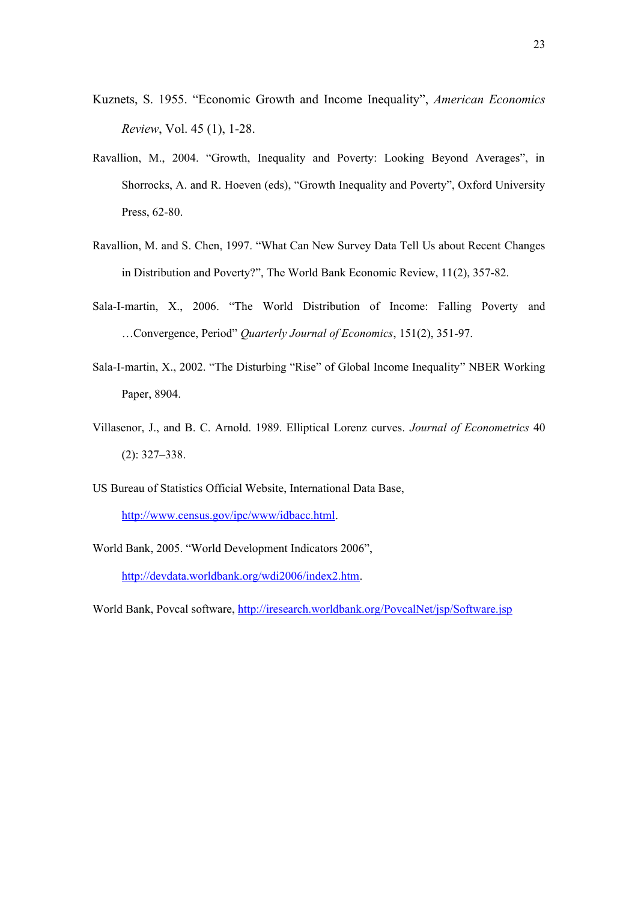- Kuznets, S. 1955. "Economic Growth and Income Inequality", *American Economics Review*, Vol. 45 (1), 1-28.
- Ravallion, M., 2004. "Growth, Inequality and Poverty: Looking Beyond Averages", in Shorrocks, A. and R. Hoeven (eds), "Growth Inequality and Poverty", Oxford University Press, 62-80.
- Ravallion, M. and S. Chen, 1997. "What Can New Survey Data Tell Us about Recent Changes in Distribution and Poverty?", The World Bank Economic Review, 11(2), 357-82.
- Sala-I-martin, X., 2006. "The World Distribution of Income: Falling Poverty and …Convergence, Period" *Quarterly Journal of Economics*, 151(2), 351-97.
- Sala-I-martin, X., 2002. "The Disturbing "Rise" of Global Income Inequality" NBER Working Paper, 8904.
- Villasenor, J., and B. C. Arnold. 1989. Elliptical Lorenz curves. *Journal of Econometrics* 40 (2): 327–338.
- US Bureau of Statistics Official Website, International Data Base, http://www.census.gov/ipc/www/idbacc.html.
- World Bank, 2005. "World Development Indicators 2006",

http://devdata.worldbank.org/wdi2006/index2.htm.

World Bank, Povcal software, http://iresearch.worldbank.org/PovcalNet/jsp/Software.jsp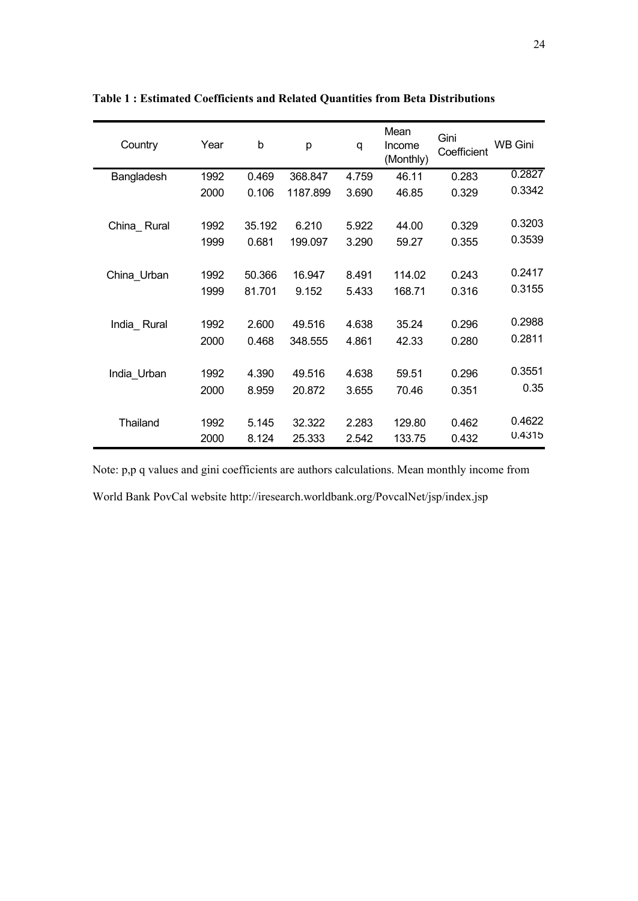| Country     | Year | b      | p        | q     | Mean<br>Income<br>(Monthly) | Gini<br>Coefficient | <b>WB Gini</b> |
|-------------|------|--------|----------|-------|-----------------------------|---------------------|----------------|
| Bangladesh  | 1992 | 0.469  | 368.847  | 4.759 | 46.11                       | 0.283               | 0.2827         |
|             | 2000 | 0.106  | 1187.899 | 3.690 | 46.85                       | 0.329               | 0.3342         |
| China Rural | 1992 | 35.192 | 6.210    | 5.922 | 44.00                       | 0.329               | 0.3203         |
|             | 1999 | 0.681  | 199.097  | 3.290 | 59.27                       | 0.355               | 0.3539         |
| China Urban | 1992 | 50.366 | 16.947   | 8.491 | 114.02                      | 0.243               | 0.2417         |
|             | 1999 | 81.701 | 9.152    | 5.433 | 168.71                      | 0.316               | 0.3155         |
| India Rural | 1992 | 2.600  | 49.516   | 4.638 | 35.24                       | 0.296               | 0.2988         |
|             | 2000 | 0.468  | 348.555  | 4.861 | 42.33                       | 0.280               | 0.2811         |
| India Urban | 1992 | 4.390  | 49.516   | 4.638 | 59.51                       | 0.296               | 0.3551         |
|             | 2000 | 8.959  | 20.872   | 3.655 | 70.46                       | 0.351               | 0.35           |
| Thailand    | 1992 | 5.145  | 32.322   | 2.283 | 129.80                      | 0.462               | 0.4622         |
|             | 2000 | 8.124  | 25.333   | 2.542 | 133.75                      | 0.432               | 0.4315         |

**Table 1 : Estimated Coefficients and Related Quantities from Beta Distributions**

Note: p,p q values and gini coefficients are authors calculations. Mean monthly income from World Bank PovCal website http://iresearch.worldbank.org/PovcalNet/jsp/index.jsp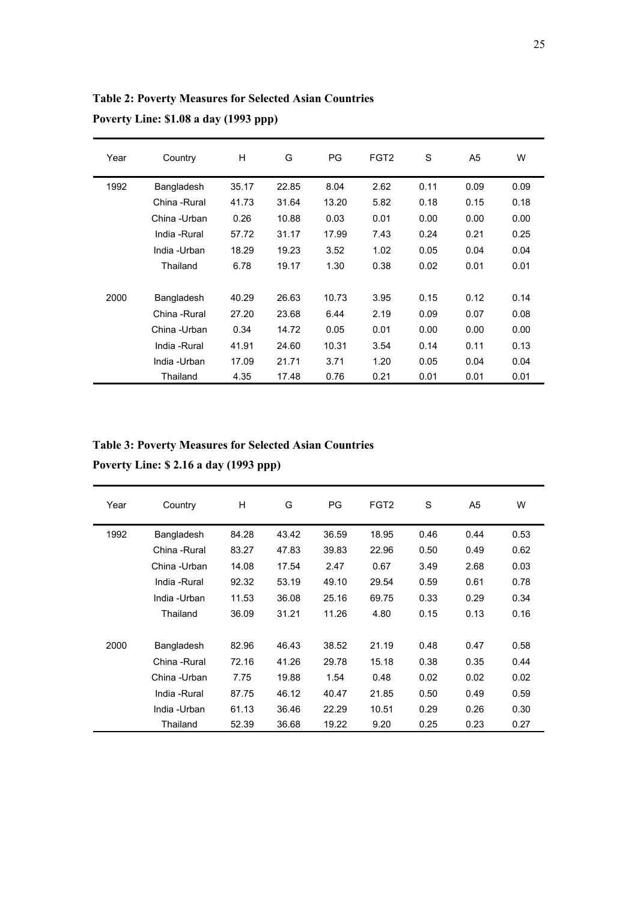**Table 2: Poverty Measures for Selected Asian Countries Poverty Line: \$1.08 a day (1993 ppp)**

| Year | Country       | H     | G     | <b>PG</b> | FGT <sub>2</sub> | S    | A <sub>5</sub> | W    |
|------|---------------|-------|-------|-----------|------------------|------|----------------|------|
| 1992 | Bangladesh    | 35.17 | 22.85 | 8.04      | 2.62             | 0.11 | 0.09           | 0.09 |
|      | China - Rural | 41.73 | 31.64 | 13.20     | 5.82             | 0.18 | 0.15           | 0.18 |
|      | China -Urban  | 0.26  | 10.88 | 0.03      | 0.01             | 0.00 | 0.00           | 0.00 |
|      | India -Rural  | 57.72 | 31.17 | 17.99     | 7.43             | 0.24 | 0.21           | 0.25 |
|      | India -Urban  | 18.29 | 19.23 | 3.52      | 1.02             | 0.05 | 0.04           | 0.04 |
|      | Thailand      | 6.78  | 19.17 | 1.30      | 0.38             | 0.02 | 0.01           | 0.01 |
|      |               |       |       |           |                  |      |                |      |
| 2000 | Bangladesh    | 40.29 | 26.63 | 10.73     | 3.95             | 0.15 | 0.12           | 0.14 |
|      | China - Rural | 27.20 | 23.68 | 6.44      | 2.19             | 0.09 | 0.07           | 0.08 |
|      | China -Urban  | 0.34  | 14.72 | 0.05      | 0.01             | 0.00 | 0.00           | 0.00 |
|      | India - Rural | 41.91 | 24.60 | 10.31     | 3.54             | 0.14 | 0.11           | 0.13 |
|      | India -Urban  | 17.09 | 21.71 | 3.71      | 1.20             | 0.05 | 0.04           | 0.04 |
|      | Thailand      | 4.35  | 17.48 | 0.76      | 0.21             | 0.01 | 0.01           | 0.01 |

**Table 3: Poverty Measures for Selected Asian Countries Poverty Line: \$ 2.16 a day (1993 ppp)**

| Year | Country       | H     | G     | PG    | FGT <sub>2</sub> | S    | A <sub>5</sub> | W    |
|------|---------------|-------|-------|-------|------------------|------|----------------|------|
| 1992 | Bangladesh    | 84.28 | 43.42 | 36.59 | 18.95            | 0.46 | 0.44           | 0.53 |
|      | China - Rural | 83.27 | 47.83 | 39.83 | 22.96            | 0.50 | 0.49           | 0.62 |
|      | China -Urban  | 14.08 | 17.54 | 2.47  | 0.67             | 3.49 | 2.68           | 0.03 |
|      | India -Rural  | 92.32 | 53.19 | 49.10 | 29.54            | 0.59 | 0.61           | 0.78 |
|      | India -Urban  | 11.53 | 36.08 | 25.16 | 69.75            | 0.33 | 0.29           | 0.34 |
|      | Thailand      | 36.09 | 31.21 | 11.26 | 4.80             | 0.15 | 0.13           | 0.16 |
|      |               |       |       |       |                  |      |                |      |
| 2000 | Bangladesh    | 82.96 | 46.43 | 38.52 | 21.19            | 0.48 | 0.47           | 0.58 |
|      | China - Rural | 72.16 | 41.26 | 29.78 | 15.18            | 0.38 | 0.35           | 0.44 |
|      | China -Urban  | 7.75  | 19.88 | 1.54  | 0.48             | 0.02 | 0.02           | 0.02 |
|      | India - Rural | 87.75 | 46.12 | 40.47 | 21.85            | 0.50 | 0.49           | 0.59 |
|      | India -Urban  | 61.13 | 36.46 | 22.29 | 10.51            | 0.29 | 0.26           | 0.30 |
|      | Thailand      | 52.39 | 36.68 | 19.22 | 9.20             | 0.25 | 0.23           | 0.27 |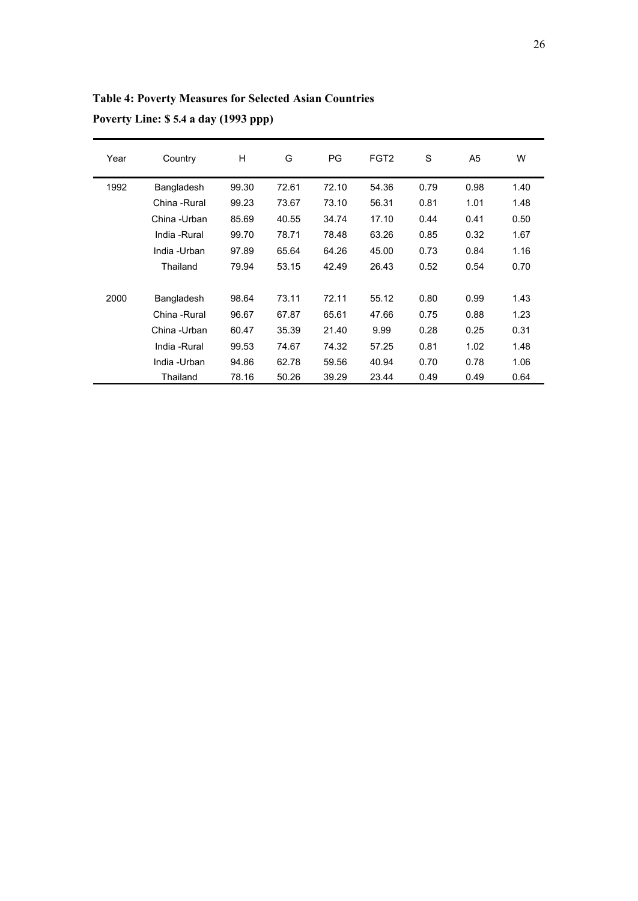**Table 4: Poverty Measures for Selected Asian Countries Poverty Line: \$ 5.4 a day (1993 ppp)**

| Year | Country       | H     | G     | PG    | FGT <sub>2</sub> | S    | A <sub>5</sub> | W    |
|------|---------------|-------|-------|-------|------------------|------|----------------|------|
| 1992 | Bangladesh    | 99.30 | 72.61 | 72.10 | 54.36            | 0.79 | 0.98           | 1.40 |
|      | China - Rural | 99.23 | 73.67 | 73.10 | 56.31            | 0.81 | 1.01           | 1.48 |
|      | China -Urban  | 85.69 | 40.55 | 34.74 | 17.10            | 0.44 | 0.41           | 0.50 |
|      | India - Rural | 99.70 | 78.71 | 78.48 | 63.26            | 0.85 | 0.32           | 1.67 |
|      | India -Urban  | 97.89 | 65.64 | 64.26 | 45.00            | 0.73 | 0.84           | 1.16 |
|      | Thailand      | 79.94 | 53.15 | 42.49 | 26.43            | 0.52 | 0.54           | 0.70 |
|      |               |       |       |       |                  |      |                |      |
| 2000 | Bangladesh    | 98.64 | 73.11 | 72.11 | 55.12            | 0.80 | 0.99           | 1.43 |
|      | China - Rural | 96.67 | 67.87 | 65.61 | 47.66            | 0.75 | 0.88           | 1.23 |
|      | China -Urban  | 60.47 | 35.39 | 21.40 | 9.99             | 0.28 | 0.25           | 0.31 |
|      | India - Rural | 99.53 | 74.67 | 74.32 | 57.25            | 0.81 | 1.02           | 1.48 |
|      | India -Urban  | 94.86 | 62.78 | 59.56 | 40.94            | 0.70 | 0.78           | 1.06 |
|      | Thailand      | 78.16 | 50.26 | 39.29 | 23.44            | 0.49 | 0.49           | 0.64 |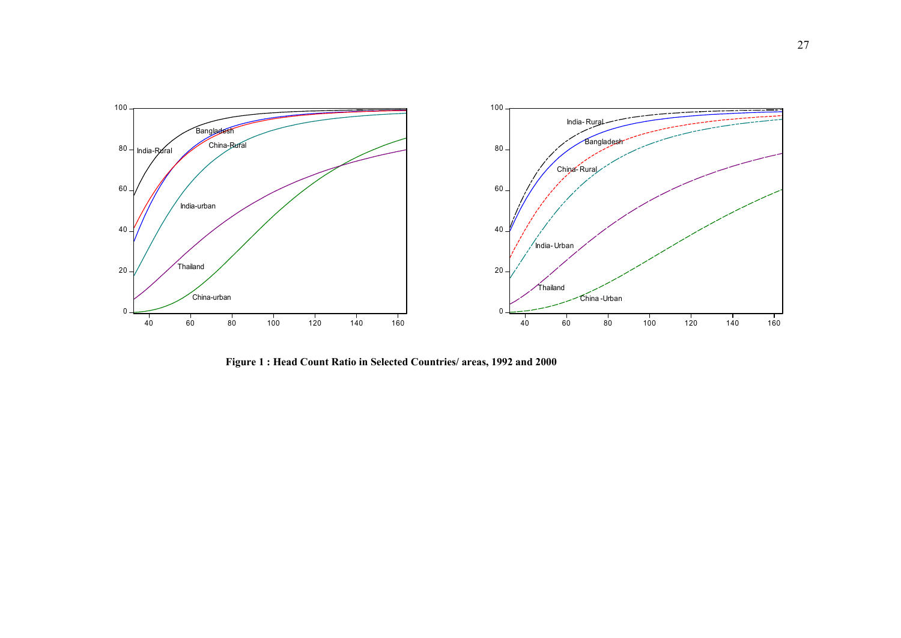

**1992 <sup>2000</sup> Figure 1 : Head Count Ratio in Selected Countries/ areas, 1992 and 2000**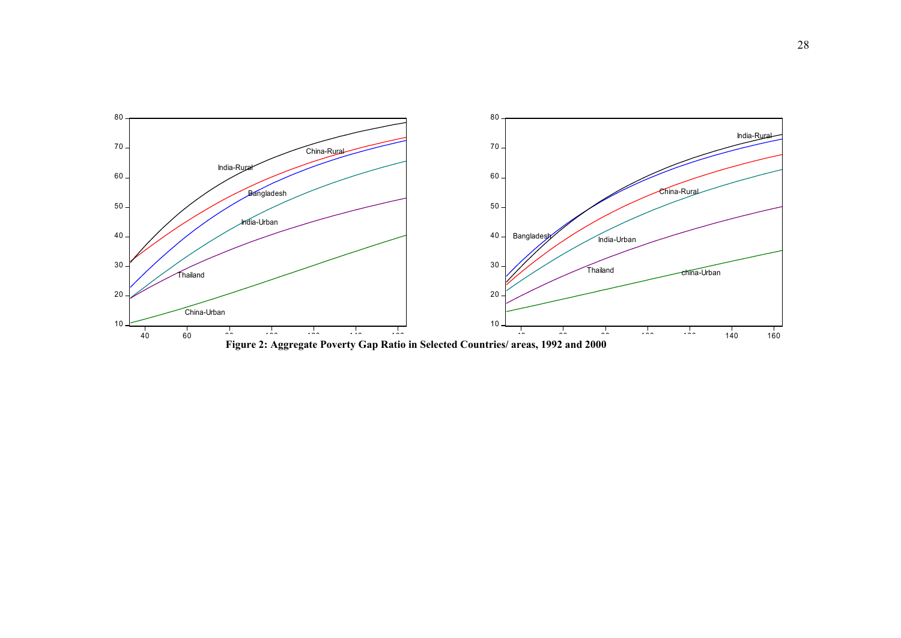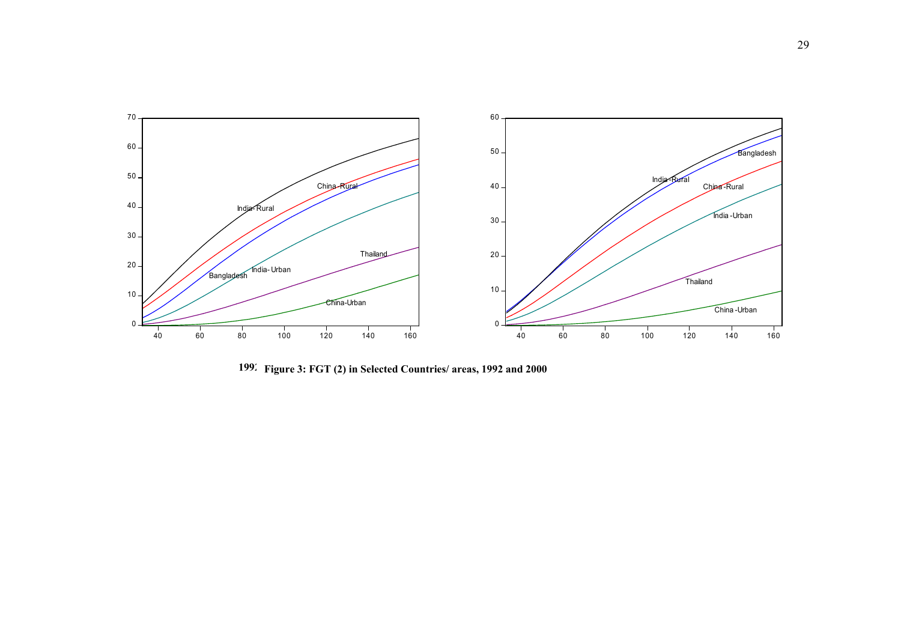

**Figure 3: FGT (2) in Selected Countries/ areas, 1992 and 2000 2000**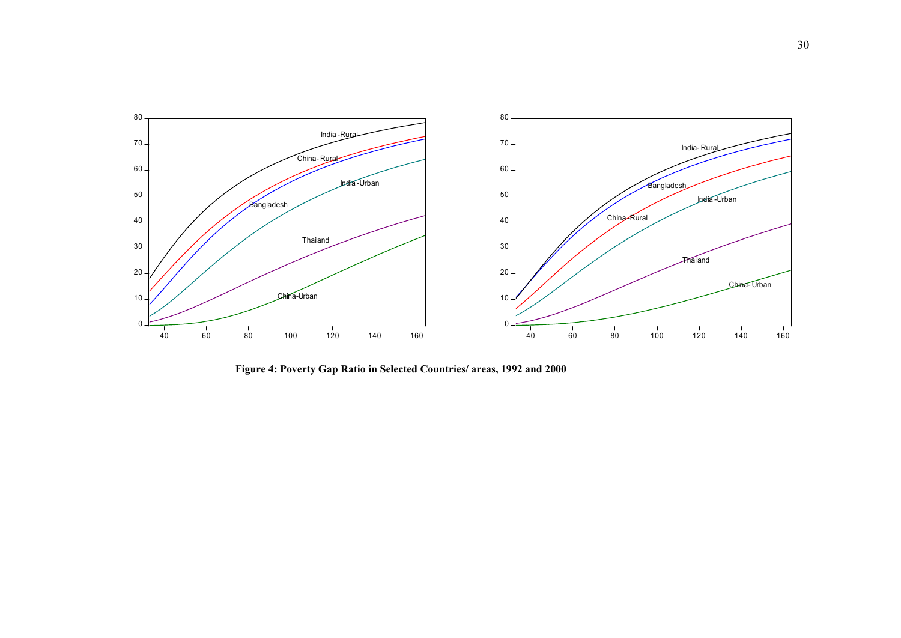

**1992 Figure 4: Poverty Gap Ratio in Selected Countries/ areas, 1992 and 2000 2000**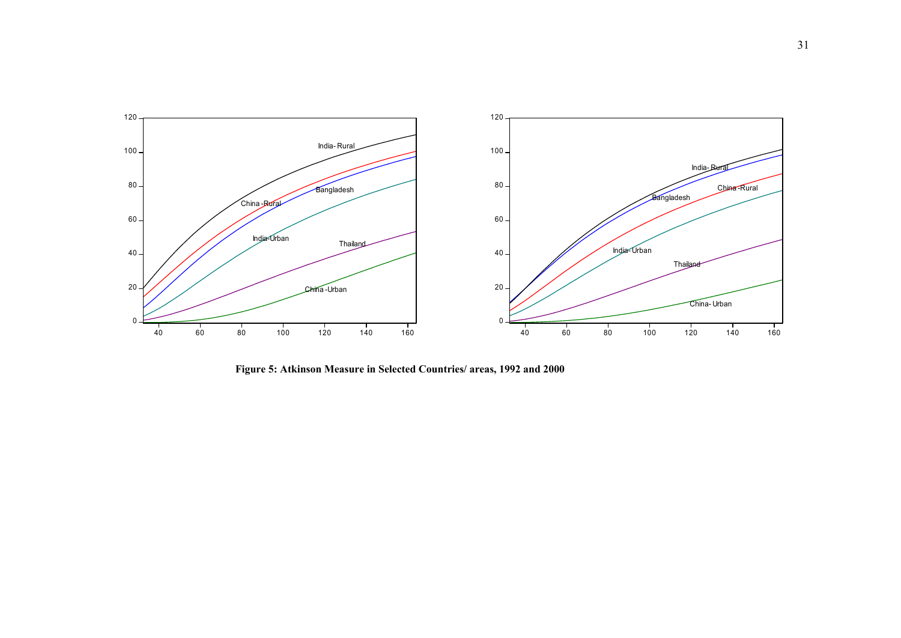

**1992 Figure 5: Atkinson Measure in Selected Countries/ areas, 1992 and 2000**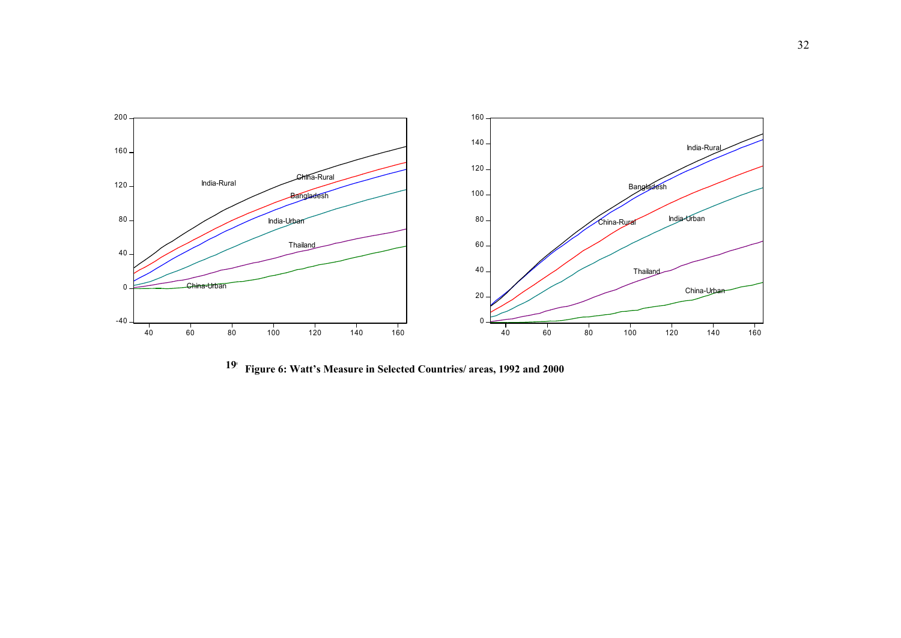

<sup>19</sup> Figure 6: Watt's Measure in Selected Countries/ areas, 1992 and 2000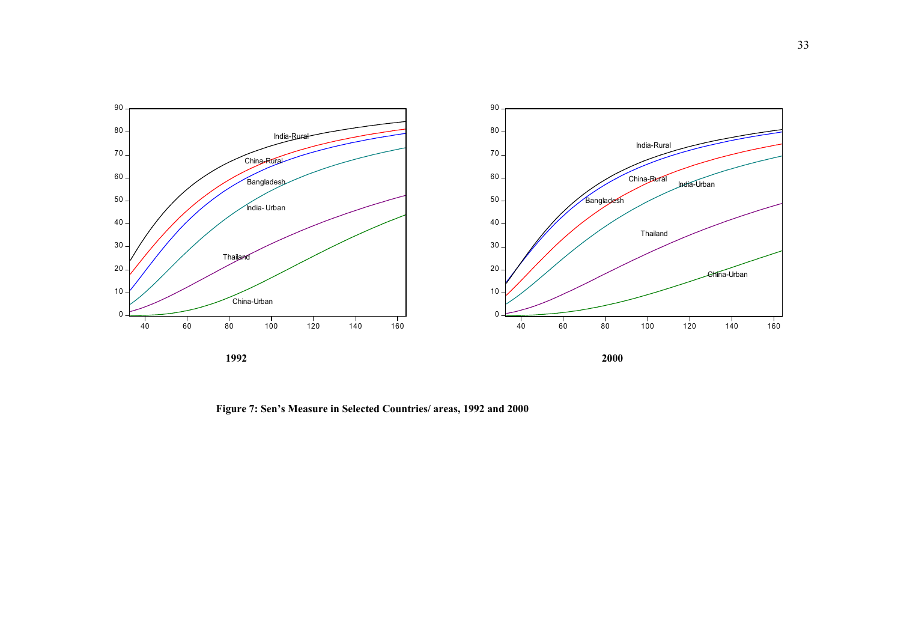

**Figure 7: Sen's Measure in Selected Countries/ areas, 1992 and 2000**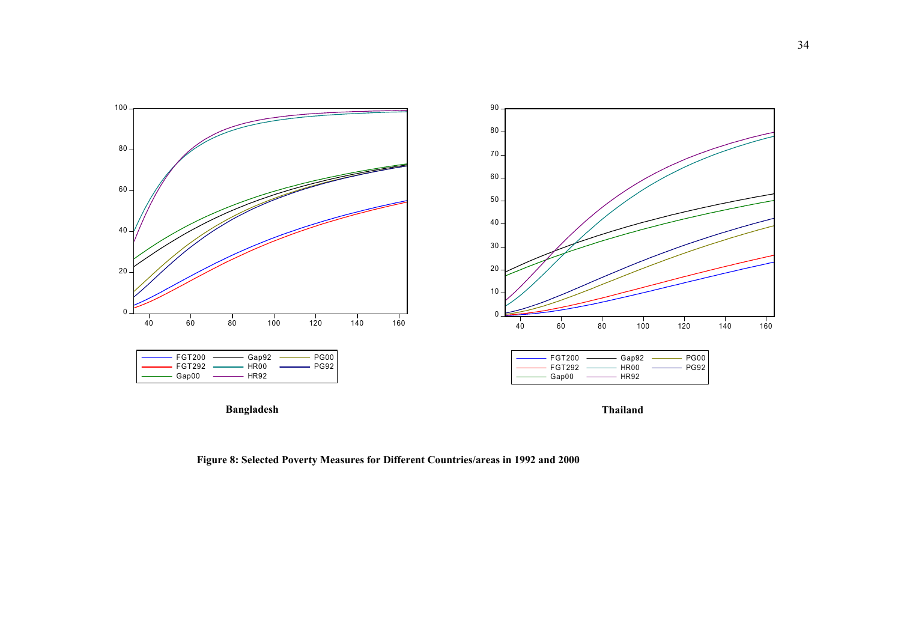

**Figure 8: Selected Poverty Measures for Different Countries/areas in 1992 and 2000**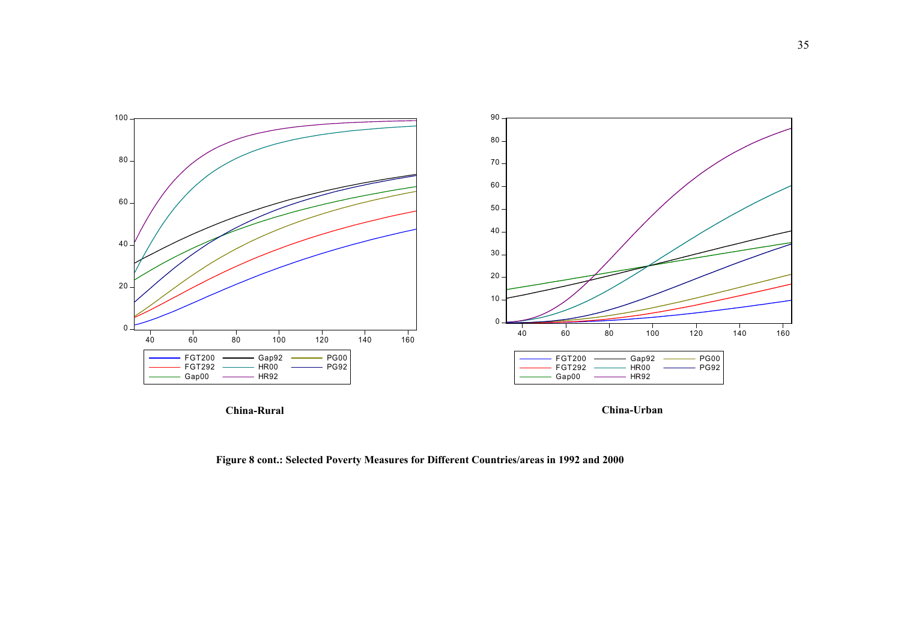

**Figure 8 cont.: Selected Poverty Measures for Different Countries/areas in 1992 and 2000**